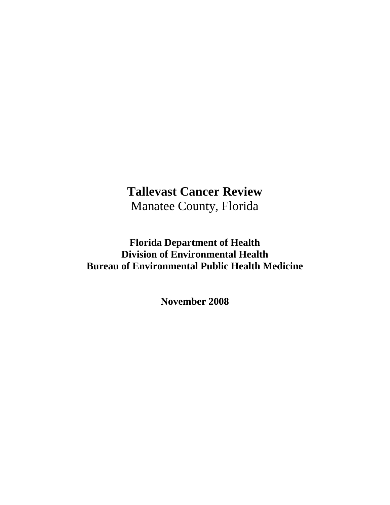# **Tallevast Cancer Review**  Manatee County, Florida

## **Florida Department of Health Division of Environmental Health Bureau of Environmental Public Health Medicine**

**November 2008**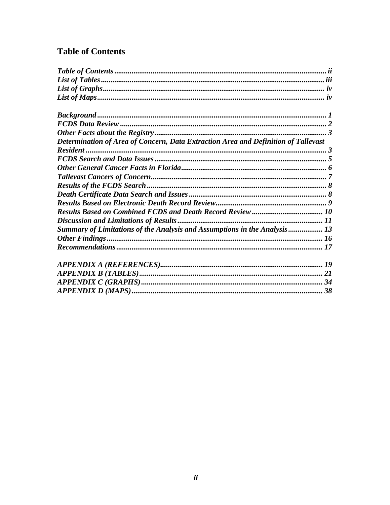### <span id="page-1-0"></span>**Table of Contents**

| Determination of Area of Concern, Data Extraction Area and Definition of Tallevast |  |
|------------------------------------------------------------------------------------|--|
|                                                                                    |  |
|                                                                                    |  |
|                                                                                    |  |
|                                                                                    |  |
|                                                                                    |  |
|                                                                                    |  |
|                                                                                    |  |
|                                                                                    |  |
|                                                                                    |  |
| Summary of Limitations of the Analysis and Assumptions in the Analysis 13          |  |
|                                                                                    |  |
|                                                                                    |  |
|                                                                                    |  |
|                                                                                    |  |
|                                                                                    |  |
|                                                                                    |  |
|                                                                                    |  |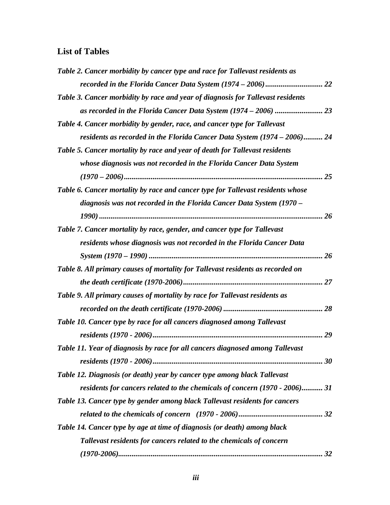### <span id="page-2-0"></span>**List of Tables**

| Table 2. Cancer morbidity by cancer type and race for Tallevast residents as    |
|---------------------------------------------------------------------------------|
|                                                                                 |
| Table 3. Cancer morbidity by race and year of diagnosis for Tallevast residents |
|                                                                                 |
| Table 4. Cancer morbidity by gender, race, and cancer type for Tallevast        |
| residents as recorded in the Florida Cancer Data System (1974 – 2006) 24        |
| Table 5. Cancer mortality by race and year of death for Tallevast residents     |
| whose diagnosis was not recorded in the Florida Cancer Data System              |
|                                                                                 |
| Table 6. Cancer mortality by race and cancer type for Tallevast residents whose |
| diagnosis was not recorded in the Florida Cancer Data System (1970 –            |
|                                                                                 |
| Table 7. Cancer mortality by race, gender, and cancer type for Tallevast        |
| residents whose diagnosis was not recorded in the Florida Cancer Data           |
|                                                                                 |
| Table 8. All primary causes of mortality for Tallevast residents as recorded on |
|                                                                                 |
| Table 9. All primary causes of mortality by race for Tallevast residents as     |
|                                                                                 |
| Table 10. Cancer type by race for all cancers diagnosed among Tallevast         |
|                                                                                 |
| Table 11. Year of diagnosis by race for all cancers diagnosed among Tallevast   |
|                                                                                 |
| Table 12. Diagnosis (or death) year by cancer type among black Tallevast        |
| residents for cancers related to the chemicals of concern (1970 - 2006) 31      |
| Table 13. Cancer type by gender among black Tallevast residents for cancers     |
|                                                                                 |
| Table 14. Cancer type by age at time of diagnosis (or death) among black        |
| Tallevast residents for cancers related to the chemicals of concern             |
|                                                                                 |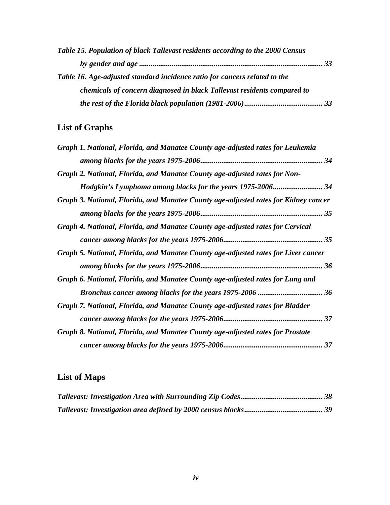<span id="page-3-0"></span>

| Table 15. Population of black Tallevast residents according to the 2000 Census |  |
|--------------------------------------------------------------------------------|--|
|                                                                                |  |
| Table 16. Age-adjusted standard incidence ratio for cancers related to the     |  |
| chemicals of concern diagnosed in black Tallevast residents compared to        |  |
|                                                                                |  |

## **List of Graphs**

| Graph 1. National, Florida, and Manatee County age-adjusted rates for Leukemia      |  |
|-------------------------------------------------------------------------------------|--|
|                                                                                     |  |
| Graph 2. National, Florida, and Manatee County age-adjusted rates for Non-          |  |
|                                                                                     |  |
| Graph 3. National, Florida, and Manatee County age-adjusted rates for Kidney cancer |  |
|                                                                                     |  |
| Graph 4. National, Florida, and Manatee County age-adjusted rates for Cervical      |  |
|                                                                                     |  |
| Graph 5. National, Florida, and Manatee County age-adjusted rates for Liver cancer  |  |
|                                                                                     |  |
| Graph 6. National, Florida, and Manatee County age-adjusted rates for Lung and      |  |
|                                                                                     |  |
| Graph 7. National, Florida, and Manatee County age-adjusted rates for Bladder       |  |
|                                                                                     |  |
| Graph 8. National, Florida, and Manatee County age-adjusted rates for Prostate      |  |
|                                                                                     |  |

## **List of Maps**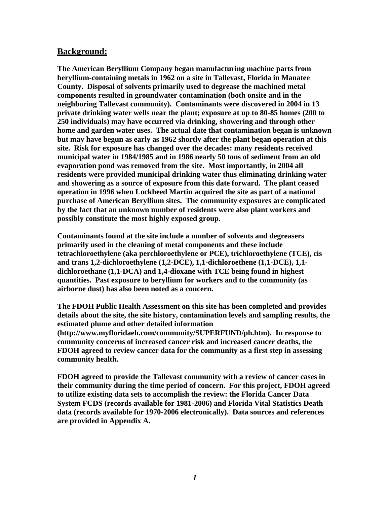#### <span id="page-4-0"></span>**Background:**

**The American Beryllium Company began manufacturing machine parts from beryllium-containing metals in 1962 on a site in Tallevast, Florida in Manatee County. Disposal of solvents primarily used to degrease the machined metal components resulted in groundwater contamination (both onsite and in the neighboring Tallevast community). Contaminants were discovered in 2004 in 13 private drinking water wells near the plant; exposure at up to 80-85 homes (200 to 250 individuals) may have occurred via drinking, showering and through other home and garden water uses. The actual date that contamination began is unknown but may have begun as early as 1962 shortly after the plant began operation at this site. Risk for exposure has changed over the decades: many residents received municipal water in 1984/1985 and in 1986 nearly 50 tons of sediment from an old evaporation pond was removed from the site. Most importantly, in 2004 all residents were provided municipal drinking water thus eliminating drinking water and showering as a source of exposure from this date forward. The plant ceased operation in 1996 when Lockheed Martin acquired the site as part of a national purchase of American Beryllium sites. The community exposures are complicated by the fact that an unknown number of residents were also plant workers and possibly constitute the most highly exposed group.** 

**Contaminants found at the site include a number of solvents and degreasers primarily used in the cleaning of metal components and these include tetrachloroethylene (aka perchloroethylene or PCE), trichloroethylene (TCE), cis and trans 1,2-dichloroethylene (1,2-DCE), 1,1-dichloroethene (1,1-DCE), 1,1 dichloroethane (1,1-DCA) and 1,4-dioxane with TCE being found in highest quantities. Past exposure to beryllium for workers and to the community (as airborne dust) has also been noted as a concern.** 

**The FDOH Public Health Assessment on this site has been completed and provides details about the site, the site history, contamination levels and sampling results, the estimated plume and other detailed information (http://www.myfloridaeh.com/community/SUPERFUND/ph.htm). In response to community concerns of increased cancer risk and increased cancer deaths, the FDOH agreed to review cancer data for the community as a first step in assessing community health.** 

**FDOH agreed to provide the Tallevast community with a review of cancer cases in their community during the time period of concern. For this project, FDOH agreed to utilize existing data sets to accomplish the review: the Florida Cancer Data System FCDS (records available for 1981-2006) and Florida Vital Statistics Death data (records available for 1970-2006 electronically). Data sources and references are provided in Appendix A.**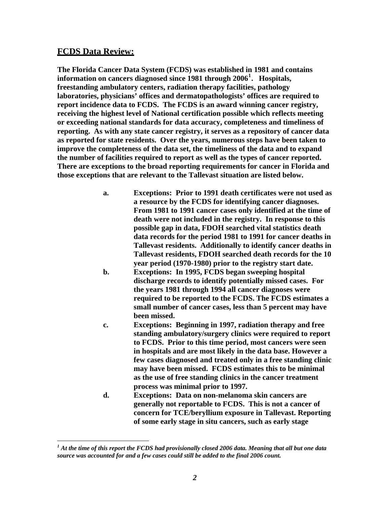#### <span id="page-5-0"></span>**FCDS Data Review:**

**The Florida Cancer Data System (FCDS) was established in 1981 and contains information on cancers diagnosed since 1981 through 2006[1](#page-5-1) . Hospitals, freestanding ambulatory centers, radiation therapy facilities, pathology laboratories, physicians' offices and dermatopathologists' offices are required to report incidence data to FCDS. The FCDS is an award winning cancer registry, receiving the highest level of National certification possible which reflects meeting or exceeding national standards for data accuracy, completeness and timeliness of reporting. As with any state cancer registry, it serves as a repository of cancer data as reported for state residents. Over the years, numerous steps have been taken to improve the completeness of the data set, the timeliness of the data and to expand the number of facilities required to report as well as the types of cancer reported. There are exceptions to the broad reporting requirements for cancer in Florida and those exceptions that are relevant to the Tallevast situation are listed below.** 

- **a. Exceptions: Prior to 1991 death certificates were not used as a resource by the FCDS for identifying cancer diagnoses. From 1981 to 1991 cancer cases only identified at the time of death were not included in the registry. In response to this possible gap in data, FDOH searched vital statistics death data records for the period 1981 to 1991 for cancer deaths in Tallevast residents. Additionally to identify cancer deaths in Tallevast residents, FDOH searched death records for the 10 year period (1970-1980) prior to the registry start date.**
- **b. Exceptions: In 1995, FCDS began sweeping hospital discharge records to identify potentially missed cases. For the years 1981 through 1994 all cancer diagnoses were required to be reported to the FCDS. The FCDS estimates a small number of cancer cases, less than 5 percent may have been missed.**
- **c. Exceptions: Beginning in 1997, radiation therapy and free standing ambulatory/surgery clinics were required to report to FCDS. Prior to this time period, most cancers were seen in hospitals and are most likely in the data base. However a few cases diagnosed and treated only in a free standing clinic may have been missed. FCDS estimates this to be minimal as the use of free standing clinics in the cancer treatment process was minimal prior to 1997.**
- **d. Exceptions: Data on non-melanoma skin cancers are generally not reportable to FCDS. This is not a cancer of concern for TCE/beryllium exposure in Tallevast. Reporting of some early stage in situ cancers, such as early stage**

<span id="page-5-1"></span>*<sup>1</sup> At the time of this report the FCDS had provisionally closed 2006 data. Meaning that all but one data source was accounted for and a few cases could still be added to the final 2006 count.*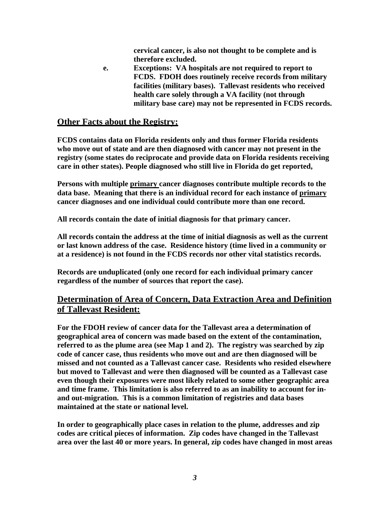**cervical cancer, is also not thought to be complete and is therefore excluded.** 

<span id="page-6-0"></span>**e. Exceptions: VA hospitals are not required to report to FCDS. FDOH does routinely receive records from military facilities (military bases). Tallevast residents who received health care solely through a VA facility (not through military base care) may not be represented in FCDS records.** 

#### **Other Facts about the Registry:**

**FCDS contains data on Florida residents only and thus former Florida residents who move out of state and are then diagnosed with cancer may not present in the registry (some states do reciprocate and provide data on Florida residents receiving care in other states). People diagnosed who still live in Florida do get reported,** 

**Persons with multiple primary cancer diagnoses contribute multiple records to the data base. Meaning that there is an individual record for each instance of primary cancer diagnoses and one individual could contribute more than one record.** 

**All records contain the date of initial diagnosis for that primary cancer.** 

**All records contain the address at the time of initial diagnosis as well as the current or last known address of the case. Residence history (time lived in a community or at a residence) is not found in the FCDS records nor other vital statistics records.** 

**Records are unduplicated (only one record for each individual primary cancer regardless of the number of sources that report the case).** 

#### **Determination of Area of Concern, Data Extraction Area and Definition of Tallevast Resident:**

**For the FDOH review of cancer data for the Tallevast area a determination of geographical area of concern was made based on the extent of the contamination, referred to as the plume area (see Map 1 and 2). The registry was searched by zip code of cancer case, thus residents who move out and are then diagnosed will be missed and not counted as a Tallevast cancer case. Residents who resided elsewhere but moved to Tallevast and were then diagnosed will be counted as a Tallevast case even though their exposures were most likely related to some other geographic area and time frame. This limitation is also referred to as an inability to account for inand out-migration. This is a common limitation of registries and data bases maintained at the state or national level.** 

**In order to geographically place cases in relation to the plume, addresses and zip codes are critical pieces of information. Zip codes have changed in the Tallevast area over the last 40 or more years. In general, zip codes have changed in most areas**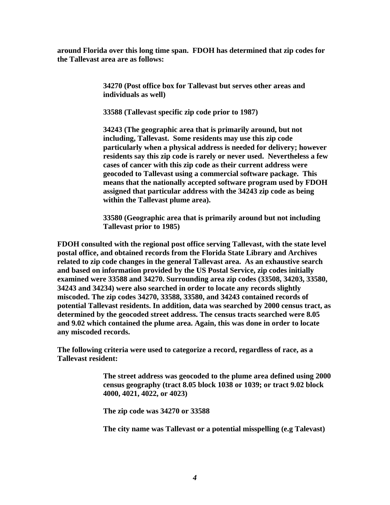**around Florida over this long time span. FDOH has determined that zip codes for the Tallevast area are as follows:** 

> **34270 (Post office box for Tallevast but serves other areas and individuals as well)**

 **33588 (Tallevast specific zip code prior to 1987)** 

**34243 (The geographic area that is primarily around, but not including, Tallevast. Some residents may use this zip code particularly when a physical address is needed for delivery; however residents say this zip code is rarely or never used. Nevertheless a few cases of cancer with this zip code as their current address were geocoded to Tallevast using a commercial software package. This means that the nationally accepted software program used by FDOH assigned that particular address with the 34243 zip code as being within the Tallevast plume area).** 

**33580 (Geographic area that is primarily around but not including Tallevast prior to 1985)** 

**FDOH consulted with the regional post office serving Tallevast, with the state level postal office, and obtained records from the Florida State Library and Archives related to zip code changes in the general Tallevast area. As an exhaustive search and based on information provided by the US Postal Service, zip codes initially examined were 33588 and 34270. Surrounding area zip codes (33508, 34203, 33580, 34243 and 34234) were also searched in order to locate any records slightly miscoded. The zip codes 34270, 33588, 33580, and 34243 contained records of potential Tallevast residents. In addition, data was searched by 2000 census tract, as determined by the geocoded street address. The census tracts searched were 8.05 and 9.02 which contained the plume area. Again, this was done in order to locate any miscoded records.** 

**The following criteria were used to categorize a record, regardless of race, as a Tallevast resident:** 

> **The street address was geocoded to the plume area defined using 2000 census geography (tract 8.05 block 1038 or 1039; or tract 9.02 block 4000, 4021, 4022, or 4023)**

**The zip code was 34270 or 33588** 

**The city name was Tallevast or a potential misspelling (e.g Talevast)**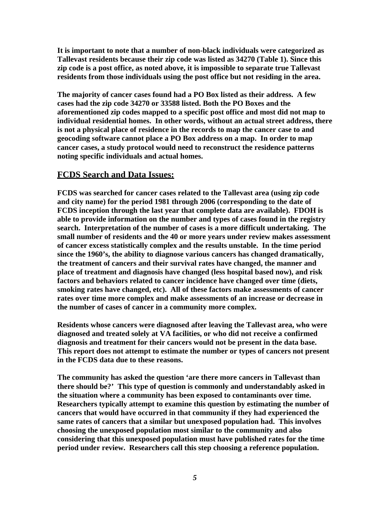<span id="page-8-0"></span>**It is important to note that a number of non-black individuals were categorized as Tallevast residents because their zip code was listed as 34270 (Table 1). Since this zip code is a post office, as noted above, it is impossible to separate true Tallevast residents from those individuals using the post office but not residing in the area.** 

**The majority of cancer cases found had a PO Box listed as their address. A few cases had the zip code 34270 or 33588 listed. Both the PO Boxes and the aforementioned zip codes mapped to a specific post office and most did not map to individual residential homes. In other words, without an actual street address, there is not a physical place of residence in the records to map the cancer case to and geocoding software cannot place a PO Box address on a map. In order to map cancer cases, a study protocol would need to reconstruct the residence patterns noting specific individuals and actual homes.** 

#### **FCDS Search and Data Issues:**

**FCDS was searched for cancer cases related to the Tallevast area (using zip code and city name) for the period 1981 through 2006 (corresponding to the date of FCDS inception through the last year that complete data are available). FDOH is able to provide information on the number and types of cases found in the registry search. Interpretation of the number of cases is a more difficult undertaking. The small number of residents and the 40 or more years under review makes assessment of cancer excess statistically complex and the results unstable. In the time period since the 1960's, the ability to diagnose various cancers has changed dramatically, the treatment of cancers and their survival rates have changed, the manner and place of treatment and diagnosis have changed (less hospital based now), and risk factors and behaviors related to cancer incidence have changed over time (diets, smoking rates have changed, etc). All of these factors make assessments of cancer rates over time more complex and make assessments of an increase or decrease in the number of cases of cancer in a community more complex.** 

**Residents whose cancers were diagnosed after leaving the Tallevast area, who were diagnosed and treated solely at VA facilities, or who did not receive a confirmed diagnosis and treatment for their cancers would not be present in the data base. This report does not attempt to estimate the number or types of cancers not present in the FCDS data due to these reasons.** 

**The community has asked the question 'are there more cancers in Tallevast than there should be?' This type of question is commonly and understandably asked in the situation where a community has been exposed to contaminants over time. Researchers typically attempt to examine this question by estimating the number of cancers that would have occurred in that community if they had experienced the same rates of cancers that a similar but unexposed population had. This involves choosing the unexposed population most similar to the community and also considering that this unexposed population must have published rates for the time period under review. Researchers call this step choosing a reference population.**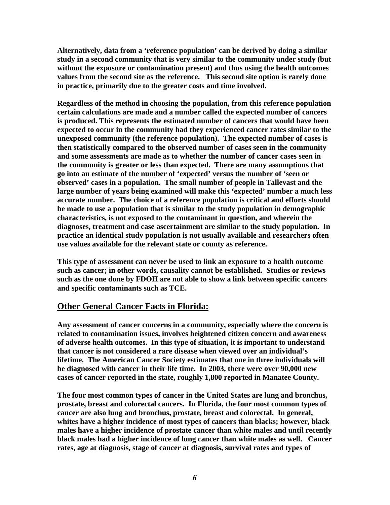<span id="page-9-0"></span>**Alternatively, data from a 'reference population' can be derived by doing a similar study in a second community that is very similar to the community under study (but without the exposure or contamination present) and thus using the health outcomes values from the second site as the reference. This second site option is rarely done in practice, primarily due to the greater costs and time involved.** 

**Regardless of the method in choosing the population, from this reference population certain calculations are made and a number called the expected number of cancers is produced. This represents the estimated number of cancers that would have been expected to occur in the community had they experienced cancer rates similar to the unexposed community (the reference population). The expected number of cases is then statistically compared to the observed number of cases seen in the community and some assessments are made as to whether the number of cancer cases seen in the community is greater or less than expected. There are many assumptions that go into an estimate of the number of 'expected' versus the number of 'seen or observed' cases in a population. The small number of people in Tallevast and the large number of years being examined will make this 'expected' number a much less accurate number. The choice of a reference population is critical and efforts should be made to use a population that is similar to the study population in demographic characteristics, is not exposed to the contaminant in question, and wherein the diagnoses, treatment and case ascertainment are similar to the study population. In practice an identical study population is not usually available and researchers often use values available for the relevant state or county as reference.** 

**This type of assessment can never be used to link an exposure to a health outcome such as cancer; in other words, causality cannot be established. Studies or reviews such as the one done by FDOH are not able to show a link between specific cancers and specific contaminants such as TCE.** 

#### **Other General Cancer Facts in Florida:**

**Any assessment of cancer concerns in a community, especially where the concern is related to contamination issues, involves heightened citizen concern and awareness of adverse health outcomes. In this type of situation, it is important to understand that cancer is not considered a rare disease when viewed over an individual's lifetime. The American Cancer Society estimates that one in three individuals will be diagnosed with cancer in their life time. In 2003, there were over 90,000 new cases of cancer reported in the state, roughly 1,800 reported in Manatee County.** 

**The four most common types of cancer in the United States are lung and bronchus, prostate, breast and colorectal cancers. In Florida, the four most common types of cancer are also lung and bronchus, prostate, breast and colorectal. In general, whites have a higher incidence of most types of cancers than blacks; however, black males have a higher incidence of prostate cancer than white males and until recently black males had a higher incidence of lung cancer than white males as well. Cancer rates, age at diagnosis, stage of cancer at diagnosis, survival rates and types of**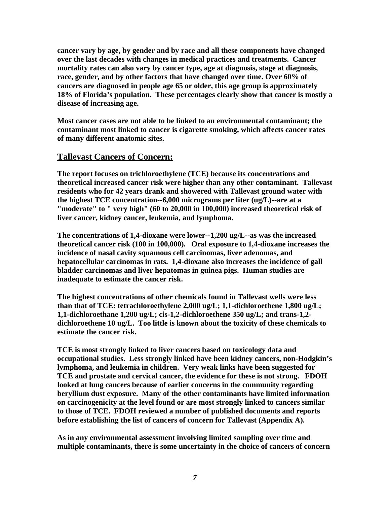<span id="page-10-0"></span>**cancer vary by age, by gender and by race and all these components have changed over the last decades with changes in medical practices and treatments. Cancer mortality rates can also vary by cancer type, age at diagnosis, stage at diagnosis, race, gender, and by other factors that have changed over time. Over 60% of cancers are diagnosed in people age 65 or older, this age group is approximately 18% of Florida's population. These percentages clearly show that cancer is mostly a disease of increasing age.** 

**Most cancer cases are not able to be linked to an environmental contaminant; the contaminant most linked to cancer is cigarette smoking, which affects cancer rates of many different anatomic sites.** 

#### **Tallevast Cancers of Concern:**

**The report focuses on trichloroethylene (TCE) because its concentrations and theoretical increased cancer risk were higher than any other contaminant. Tallevast residents who for 42 years drank and showered with Tallevast ground water with the highest TCE concentration--6,000 micrograms per liter (ug/L)--are at a "moderate" to " very high" (60 to 20,000 in 100,000) increased theoretical risk of liver cancer, kidney cancer, leukemia, and lymphoma.** 

**The concentrations of 1,4-dioxane were lower--1,200 ug/L--as was the increased theoretical cancer risk (100 in 100,000). Oral exposure to 1,4-dioxane increases the incidence of nasal cavity squamous cell carcinomas, liver adenomas, and hepatocellular carcinomas in rats. 1,4-dioxane also increases the incidence of gall bladder carcinomas and liver hepatomas in guinea pigs. Human studies are inadequate to estimate the cancer risk.** 

**The highest concentrations of other chemicals found in Tallevast wells were less than that of TCE: tetrachloroethylene 2,000 ug/L; 1,1-dichloroethene 1,800 ug/L; 1,1-dichloroethane 1,200 ug/L; cis-1,2-dichloroethene 350 ug/L; and trans-1,2 dichloroethene 10 ug/L. Too little is known about the toxicity of these chemicals to estimate the cancer risk.** 

**TCE is most strongly linked to liver cancers based on toxicology data and occupational studies. Less strongly linked have been kidney cancers, non-Hodgkin's lymphoma, and leukemia in children. Very weak links have been suggested for TCE and prostate and cervical cancer, the evidence for these is not strong. FDOH looked at lung cancers because of earlier concerns in the community regarding beryllium dust exposure. Many of the other contaminants have limited information on carcinogenicity at the level found or are most strongly linked to cancers similar to those of TCE. FDOH reviewed a number of published documents and reports before establishing the list of cancers of concern for Tallevast (Appendix A).** 

**As in any environmental assessment involving limited sampling over time and multiple contaminants, there is some uncertainty in the choice of cancers of concern**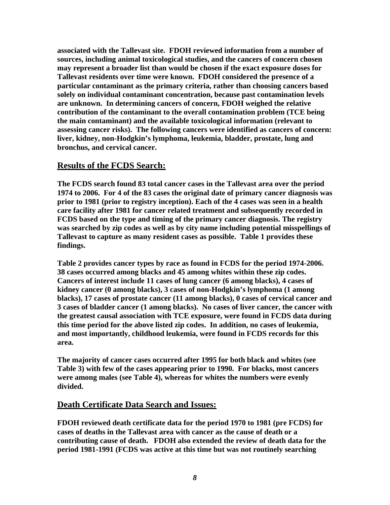<span id="page-11-0"></span>**associated with the Tallevast site. FDOH reviewed information from a number of sources, including animal toxicological studies, and the cancers of concern chosen may represent a broader list than would be chosen if the exact exposure doses for Tallevast residents over time were known. FDOH considered the presence of a particular contaminant as the primary criteria, rather than choosing cancers based solely on individual contaminant concentration, because past contamination levels are unknown. In determining cancers of concern, FDOH weighed the relative contribution of the contaminant to the overall contamination problem (TCE being the main contaminant) and the available toxicological information (relevant to assessing cancer risks). The following cancers were identified as cancers of concern: liver, kidney, non-Hodgkin's lymphoma, leukemia, bladder, prostate, lung and bronchus, and cervical cancer.** 

### **Results of the FCDS Search:**

**The FCDS search found 83 total cancer cases in the Tallevast area over the period 1974 to 2006. For 4 of the 83 cases the original date of primary cancer diagnosis was prior to 1981 (prior to registry inception). Each of the 4 cases was seen in a health care facility after 1981 for cancer related treatment and subsequently recorded in FCDS based on the type and timing of the primary cancer diagnosis. The registry was searched by zip codes as well as by city name including potential misspellings of Tallevast to capture as many resident cases as possible. Table 1 provides these findings.** 

**Table 2 provides cancer types by race as found in FCDS for the period 1974-2006. 38 cases occurred among blacks and 45 among whites within these zip codes. Cancers of interest include 11 cases of lung cancer (6 among blacks), 4 cases of kidney cancer (0 among blacks), 3 cases of non-Hodgkin's lymphoma (1 among blacks), 17 cases of prostate cancer (11 among blacks), 0 cases of cervical cancer and 3 cases of bladder cancer (1 among blacks). No cases of liver cancer, the cancer with the greatest causal association with TCE exposure, were found in FCDS data during this time period for the above listed zip codes. In addition, no cases of leukemia, and most importantly, childhood leukemia, were found in FCDS records for this area.** 

**The majority of cancer cases occurred after 1995 for both black and whites (see Table 3) with few of the cases appearing prior to 1990. For blacks, most cancers were among males (see Table 4), whereas for whites the numbers were evenly divided.** 

#### **Death Certificate Data Search and Issues:**

**FDOH reviewed death certificate data for the period 1970 to 1981 (pre FCDS) for cases of deaths in the Tallevast area with cancer as the cause of death or a contributing cause of death. FDOH also extended the review of death data for the period 1981-1991 (FCDS was active at this time but was not routinely searching**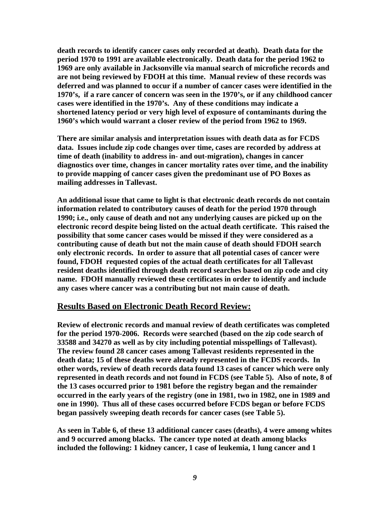<span id="page-12-0"></span>**death records to identify cancer cases only recorded at death). Death data for the period 1970 to 1991 are available electronically. Death data for the period 1962 to 1969 are only available in Jacksonville via manual search of microfiche records and are not being reviewed by FDOH at this time. Manual review of these records was deferred and was planned to occur if a number of cancer cases were identified in the 1970's, if a rare cancer of concern was seen in the 1970's, or if any childhood cancer cases were identified in the 1970's. Any of these conditions may indicate a shortened latency period or very high level of exposure of contaminants during the 1960's which would warrant a closer review of the period from 1962 to 1969.** 

**There are similar analysis and interpretation issues with death data as for FCDS data. Issues include zip code changes over time, cases are recorded by address at time of death (inability to address in- and out-migration), changes in cancer diagnostics over time, changes in cancer mortality rates over time, and the inability to provide mapping of cancer cases given the predominant use of PO Boxes as mailing addresses in Tallevast.** 

**An additional issue that came to light is that electronic death records do not contain information related to contributory causes of death for the period 1970 through 1990; i.e., only cause of death and not any underlying causes are picked up on the electronic record despite being listed on the actual death certificate. This raised the possibility that some cancer cases would be missed if they were considered as a contributing cause of death but not the main cause of death should FDOH search only electronic records. In order to assure that all potential cases of cancer were found, FDOH requested copies of the actual death certificates for all Tallevast resident deaths identified through death record searches based on zip code and city name. FDOH manually reviewed these certificates in order to identify and include any cases where cancer was a contributing but not main cause of death.** 

#### **Results Based on Electronic Death Record Review:**

**Review of electronic records and manual review of death certificates was completed for the period 1970-2006. Records were searched (based on the zip code search of 33588 and 34270 as well as by city including potential misspellings of Tallevast). The review found 28 cancer cases among Tallevast residents represented in the death data; 15 of these deaths were already represented in the FCDS records. In other words, review of death records data found 13 cases of cancer which were only represented in death records and not found in FCDS (see Table 5). Also of note, 8 of the 13 cases occurred prior to 1981 before the registry began and the remainder occurred in the early years of the registry (one in 1981, two in 1982, one in 1989 and one in 1990). Thus all of these cases occurred before FCDS began or before FCDS began passively sweeping death records for cancer cases (see Table 5).** 

**As seen in Table 6, of these 13 additional cancer cases (deaths), 4 were among whites and 9 occurred among blacks. The cancer type noted at death among blacks included the following: 1 kidney cancer, 1 case of leukemia, 1 lung cancer and 1**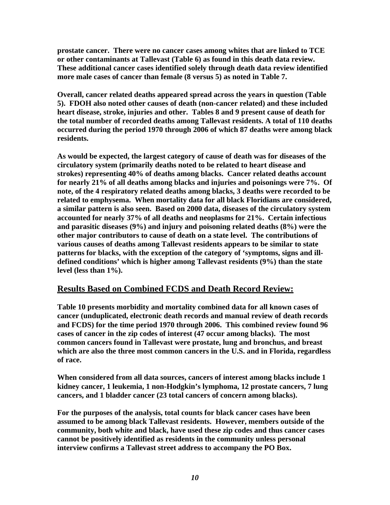<span id="page-13-0"></span>**prostate cancer. There were no cancer cases among whites that are linked to TCE or other contaminants at Tallevast (Table 6) as found in this death data review. These additional cancer cases identified solely through death data review identified more male cases of cancer than female (8 versus 5) as noted in Table 7.** 

**Overall, cancer related deaths appeared spread across the years in question (Table 5). FDOH also noted other causes of death (non-cancer related) and these included heart disease, stroke, injuries and other. Tables 8 and 9 present cause of death for the total number of recorded deaths among Tallevast residents. A total of 110 deaths occurred during the period 1970 through 2006 of which 87 deaths were among black residents.** 

**As would be expected, the largest category of cause of death was for diseases of the circulatory system (primarily deaths noted to be related to heart disease and strokes) representing 40% of deaths among blacks. Cancer related deaths account for nearly 21% of all deaths among blacks and injuries and poisonings were 7%. Of note, of the 4 respiratory related deaths among blacks, 3 deaths were recorded to be related to emphysema. When mortality data for all black Floridians are considered, a similar pattern is also seen. Based on 2000 data, diseases of the circulatory system accounted for nearly 37% of all deaths and neoplasms for 21%. Certain infectious and parasitic diseases (9%) and injury and poisoning related deaths (8%) were the other major contributors to cause of death on a state level. The contributions of various causes of deaths among Tallevast residents appears to be similar to state patterns for blacks, with the exception of the category of 'symptoms, signs and illdefined conditions' which is higher among Tallevast residents (9%) than the state level (less than 1%).** 

#### **Results Based on Combined FCDS and Death Record Review:**

**Table 10 presents morbidity and mortality combined data for all known cases of cancer (unduplicated, electronic death records and manual review of death records and FCDS) for the time period 1970 through 2006. This combined review found 96 cases of cancer in the zip codes of interest (47 occur among blacks). The most common cancers found in Tallevast were prostate, lung and bronchus, and breast which are also the three most common cancers in the U.S. and in Florida, regardless of race.** 

**When considered from all data sources, cancers of interest among blacks include 1 kidney cancer, 1 leukemia, 1 non-Hodgkin's lymphoma, 12 prostate cancers, 7 lung cancers, and 1 bladder cancer (23 total cancers of concern among blacks).** 

**For the purposes of the analysis, total counts for black cancer cases have been assumed to be among black Tallevast residents. However, members outside of the community, both white and black, have used these zip codes and thus cancer cases cannot be positively identified as residents in the community unless personal interview confirms a Tallevast street address to accompany the PO Box.**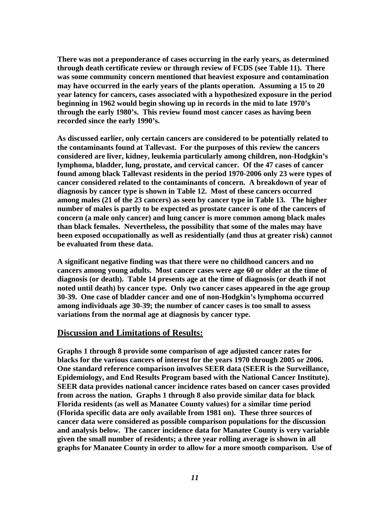<span id="page-14-0"></span>**There was not a preponderance of cases occurring in the early years, as determined through death certificate review or through review of FCDS (see Table 11). There was some community concern mentioned that heaviest exposure and contamination may have occurred in the early years of the plants operation. Assuming a 15 to 20 year latency for cancers, cases associated with a hypothesized exposure in the period beginning in 1962 would begin showing up in records in the mid to late 1970's through the early 1980's. This review found most cancer cases as having been recorded since the early 1990's.** 

**As discussed earlier, only certain cancers are considered to be potentially related to the contaminants found at Tallevast. For the purposes of this review the cancers considered are liver, kidney, leukemia particularly among children, non-Hodgkin's lymphoma, bladder, lung, prostate, and cervical cancer. Of the 47 cases of cancer found among black Tallevast residents in the period 1970-2006 only 23 were types of cancer considered related to the contaminants of concern. A breakdown of year of diagnosis by cancer type is shown in Table 12. Most of these cancers occurred among males (21 of the 23 cancers) as seen by cancer type in Table 13. The higher number of males is partly to be expected as prostate cancer is one of the cancers of concern (a male only cancer) and lung cancer is more common among black males than black females. Nevertheless, the possibility that some of the males may have been exposed occupationally as well as residentially (and thus at greater risk) cannot be evaluated from these data.** 

**A significant negative finding was that there were no childhood cancers and no cancers among young adults. Most cancer cases were age 60 or older at the time of diagnosis (or death). Table 14 presents age at the time of diagnosis (or death if not noted until death) by cancer type. Only two cancer cases appeared in the age group 30-39. One case of bladder cancer and one of non-Hodgkin's lymphoma occurred among individuals age 30-39; the number of cancer cases is too small to assess variations from the normal age at diagnosis by cancer type.** 

#### **Discussion and Limitations of Results:**

**Graphs 1 through 8 provide some comparison of age adjusted cancer rates for blacks for the various cancers of interest for the years 1970 through 2005 or 2006. One standard reference comparison involves SEER data (SEER is the Surveillance, Epidemiology, and End Results Program based with the National Cancer Institute). SEER data provides national cancer incidence rates based on cancer cases provided from across the nation. Graphs 1 through 8 also provide similar data for black Florida residents (as well as Manatee County values) for a similar time period (Florida specific data are only available from 1981 on). These three sources of cancer data were considered as possible comparison populations for the discussion and analysis below. The cancer incidence data for Manatee County is very variable given the small number of residents; a three year rolling average is shown in all graphs for Manatee County in order to allow for a more smooth comparison. Use of**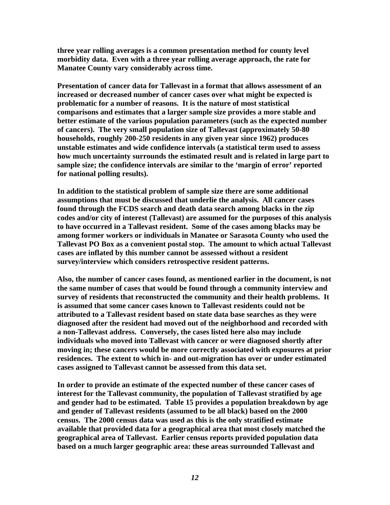**three year rolling averages is a common presentation method for county level morbidity data. Even with a three year rolling average approach, the rate for Manatee County vary considerably across time.** 

**Presentation of cancer data for Tallevast in a format that allows assessment of an increased or decreased number of cancer cases over what might be expected is problematic for a number of reasons. It is the nature of most statistical comparisons and estimates that a larger sample size provides a more stable and better estimate of the various population parameters (such as the expected number of cancers). The very small population size of Tallevast (approximately 50-80 households, roughly 200-250 residents in any given year since 1962) produces unstable estimates and wide confidence intervals (a statistical term used to assess how much uncertainty surrounds the estimated result and is related in large part to sample size; the confidence intervals are similar to the 'margin of error' reported for national polling results).** 

**In addition to the statistical problem of sample size there are some additional assumptions that must be discussed that underlie the analysis. All cancer cases found through the FCDS search and death data search among blacks in the zip codes and/or city of interest (Tallevast) are assumed for the purposes of this analysis to have occurred in a Tallevast resident. Some of the cases among blacks may be among former workers or individuals in Manatee or Sarasota County who used the Tallevast PO Box as a convenient postal stop. The amount to which actual Tallevast cases are inflated by this number cannot be assessed without a resident survey/interview which considers retrospective resident patterns.** 

**Also, the number of cancer cases found, as mentioned earlier in the document, is not the same number of cases that would be found through a community interview and survey of residents that reconstructed the community and their health problems. It is assumed that some cancer cases known to Tallevast residents could not be attributed to a Tallevast resident based on state data base searches as they were diagnosed after the resident had moved out of the neighborhood and recorded with a non-Tallevast address. Conversely, the cases listed here also may include individuals who moved into Tallevast with cancer or were diagnosed shortly after moving in; these cancers would be more correctly associated with exposures at prior residences. The extent to which in- and out-migration has over or under estimated cases assigned to Tallevast cannot be assessed from this data set.** 

**In order to provide an estimate of the expected number of these cancer cases of interest for the Tallevast community, the population of Tallevast stratified by age and gender had to be estimated. Table 15 provides a population breakdown by age and gender of Tallevast residents (assumed to be all black) based on the 2000 census. The 2000 census data was used as this is the only stratified estimate available that provided data for a geographical area that most closely matched the geographical area of Tallevast. Earlier census reports provided population data based on a much larger geographic area: these areas surrounded Tallevast and**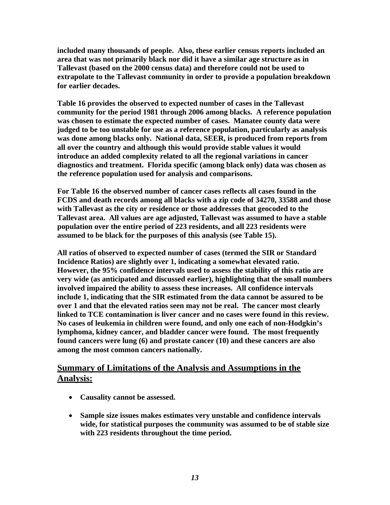<span id="page-16-0"></span>**included many thousands of people. Also, these earlier census reports included an area that was not primarily black nor did it have a similar age structure as in Tallevast (based on the 2000 census data) and therefore could not be used to extrapolate to the Tallevast community in order to provide a population breakdown for earlier decades.** 

**Table 16 provides the observed to expected number of cases in the Tallevast community for the period 1981 through 2006 among blacks. A reference population was chosen to estimate the expected number of cases. Manatee county data were judged to be too unstable for use as a reference population, particularly as analysis was done among blacks only. National data, SEER, is produced from reports from all over the country and although this would provide stable values it would introduce an added complexity related to all the regional variations in cancer diagnostics and treatment. Florida specific (among black only) data was chosen as the reference population used for analysis and comparisons.** 

**For Table 16 the observed number of cancer cases reflects all cases found in the FCDS and death records among all blacks with a zip code of 34270, 33588 and those with Tallevast as the city or residence or those addresses that geocoded to the Tallevast area. All values are age adjusted, Tallevast was assumed to have a stable population over the entire period of 223 residents, and all 223 residents were assumed to be black for the purposes of this analysis (see Table 15).** 

**All ratios of observed to expected number of cases (termed the SIR or Standard Incidence Ratios) are slightly over 1, indicating a somewhat elevated ratio. However, the 95% confidence intervals used to assess the stability of this ratio are very wide (as anticipated and discussed earlier), highlighting that the small numbers involved impaired the ability to assess these increases. All confidence intervals include 1, indicating that the SIR estimated from the data cannot be assured to be over 1 and that the elevated ratios seen may not be real. The cancer most clearly linked to TCE contamination is liver cancer and no cases were found in this review. No cases of leukemia in children were found, and only one each of non-Hodgkin's lymphoma, kidney cancer, and bladder cancer were found. The most frequently found cancers were lung (6) and prostate cancer (10) and these cancers are also among the most common cancers nationally.** 

#### **Summary of Limitations of the Analysis and Assumptions in the Analysis:**

- **Causality cannot be assessed.**
- **Sample size issues makes estimates very unstable and confidence intervals wide, for statistical purposes the community was assumed to be of stable size with 223 residents throughout the time period.**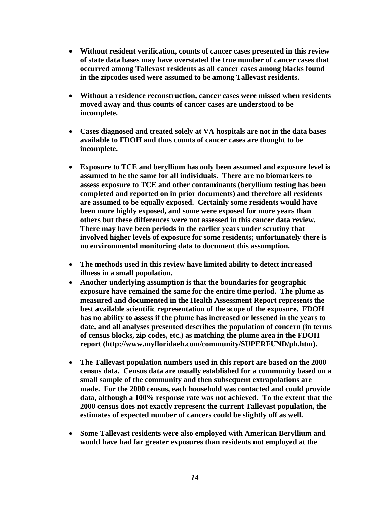- **Without resident verification, counts of cancer cases presented in this review of state data bases may have overstated the true number of cancer cases that occurred among Tallevast residents as all cancer cases among blacks found in the zipcodes used were assumed to be among Tallevast residents.**
- **Without a residence reconstruction, cancer cases were missed when residents moved away and thus counts of cancer cases are understood to be incomplete.**
- **Cases diagnosed and treated solely at VA hospitals are not in the data bases available to FDOH and thus counts of cancer cases are thought to be incomplete.**
- **Exposure to TCE and beryllium has only been assumed and exposure level is assumed to be the same for all individuals. There are no biomarkers to assess exposure to TCE and other contaminants (beryllium testing has been completed and reported on in prior documents) and therefore all residents are assumed to be equally exposed. Certainly some residents would have been more highly exposed, and some were exposed for more years than others but these differences were not assessed in this cancer data review. There may have been periods in the earlier years under scrutiny that involved higher levels of exposure for some residents; unfortunately there is no environmental monitoring data to document this assumption.**
- **The methods used in this review have limited ability to detect increased illness in a small population.**
- **Another underlying assumption is that the boundaries for geographic exposure have remained the same for the entire time period. The plume as measured and documented in the Health Assessment Report represents the best available scientific representation of the scope of the exposure. FDOH has no ability to assess if the plume has increased or lessened in the years to date, and all analyses presented describes the population of concern (in terms of census blocks, zip codes, etc.) as matching the plume area in the FDOH report (http://www.myfloridaeh.com/community/SUPERFUND/ph.htm).**
- **The Tallevast population numbers used in this report are based on the 2000 census data. Census data are usually established for a community based on a small sample of the community and then subsequent extrapolations are made. For the 2000 census, each household was contacted and could provide data, although a 100% response rate was not achieved. To the extent that the 2000 census does not exactly represent the current Tallevast population, the estimates of expected number of cancers could be slightly off as well.**
- **Some Tallevast residents were also employed with American Beryllium and would have had far greater exposures than residents not employed at the**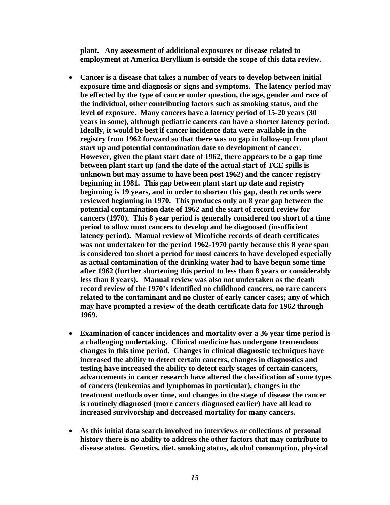**plant. Any assessment of additional exposures or disease related to employment at America Beryllium is outside the scope of this data review.** 

- **Cancer is a disease that takes a number of years to develop between initial exposure time and diagnosis or signs and symptoms. The latency period may be effected by the type of cancer under question, the age, gender and race of the individual, other contributing factors such as smoking status, and the level of exposure. Many cancers have a latency period of 15-20 years (30 years in some), although pediatric cancers can have a shorter latency period. Ideally, it would be best if cancer incidence data were available in the registry from 1962 forward so that there was no gap in follow-up from plant start up and potential contamination date to development of cancer. However, given the plant start date of 1962, there appears to be a gap time between plant start up (and the date of the actual start of TCE spills is unknown but may assume to have been post 1962) and the cancer registry beginning in 1981. This gap between plant start up date and registry beginning is 19 years, and in order to shorten this gap, death records were reviewed beginning in 1970. This produces only an 8 year gap between the potential contamination date of 1962 and the start of record review for cancers (1970). This 8 year period is generally considered too short of a time period to allow most cancers to develop and be diagnosed (insufficient latency period). Manual review of Micofiche records of death certificates was not undertaken for the period 1962-1970 partly because this 8 year span is considered too short a period for most cancers to have developed especially as actual contamination of the drinking water had to have begun some time after 1962 (further shortening this period to less than 8 years or considerably less than 8 years). Manual review was also not undertaken as the death record review of the 1970's identified no childhood cancers, no rare cancers related to the contaminant and no cluster of early cancer cases; any of which may have prompted a review of the death certificate data for 1962 through 1969.**
- **Examination of cancer incidences and mortality over a 36 year time period is a challenging undertaking. Clinical medicine has undergone tremendous changes in this time period. Changes in clinical diagnostic techniques have increased the ability to detect certain cancers, changes in diagnostics and testing have increased the ability to detect early stages of certain cancers, advancements in cancer research have altered the classification of some types of cancers (leukemias and lymphomas in particular), changes in the treatment methods over time, and changes in the stage of disease the cancer is routinely diagnosed (more cancers diagnosed earlier) have all lead to increased survivorship and decreased mortality for many cancers.**
- **As this initial data search involved no interviews or collections of personal history there is no ability to address the other factors that may contribute to disease status. Genetics, diet, smoking status, alcohol consumption, physical**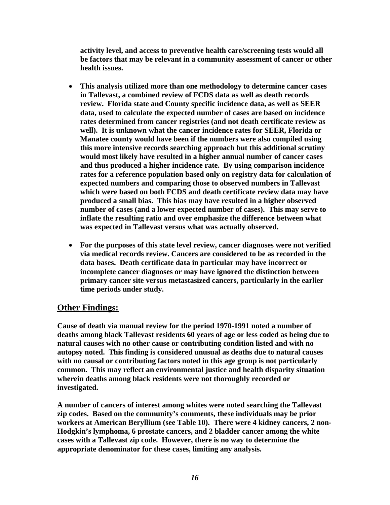<span id="page-19-0"></span>**activity level, and access to preventive health care/screening tests would all be factors that may be relevant in a community assessment of cancer or other health issues.** 

- **This analysis utilized more than one methodology to determine cancer cases in Tallevast, a combined review of FCDS data as well as death records review. Florida state and County specific incidence data, as well as SEER data, used to calculate the expected number of cases are based on incidence rates determined from cancer registries (and not death certificate review as well). It is unknown what the cancer incidence rates for SEER, Florida or Manatee county would have been if the numbers were also compiled using this more intensive records searching approach but this additional scrutiny would most likely have resulted in a higher annual number of cancer cases and thus produced a higher incidence rate. By using comparison incidence rates for a reference population based only on registry data for calculation of expected numbers and comparing those to observed numbers in Tallevast which were based on both FCDS and death certificate review data may have produced a small bias. This bias may have resulted in a higher observed number of cases (and a lower expected number of cases). This may serve to inflate the resulting ratio and over emphasize the difference between what was expected in Tallevast versus what was actually observed.**
- **For the purposes of this state level review, cancer diagnoses were not verified via medical records review. Cancers are considered to be as recorded in the data bases. Death certificate data in particular may have incorrect or incomplete cancer diagnoses or may have ignored the distinction between primary cancer site versus metastasized cancers, particularly in the earlier time periods under study.**

#### **Other Findings:**

**Cause of death via manual review for the period 1970-1991 noted a number of deaths among black Tallevast residents 60 years of age or less coded as being due to natural causes with no other cause or contributing condition listed and with no autopsy noted. This finding is considered unusual as deaths due to natural causes with no causal or contributing factors noted in this age group is not particularly common. This may reflect an environmental justice and health disparity situation wherein deaths among black residents were not thoroughly recorded or investigated.** 

**A number of cancers of interest among whites were noted searching the Tallevast zip codes. Based on the community's comments, these individuals may be prior workers at American Beryllium (see Table 10). There were 4 kidney cancers, 2 non-Hodgkin's lymphoma, 6 prostate cancers, and 2 bladder cancer among the white cases with a Tallevast zip code. However, there is no way to determine the appropriate denominator for these cases, limiting any analysis.**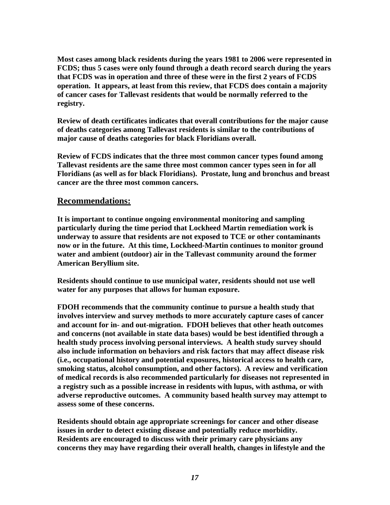<span id="page-20-0"></span>**Most cases among black residents during the years 1981 to 2006 were represented in FCDS; thus 5 cases were only found through a death record search during the years that FCDS was in operation and three of these were in the first 2 years of FCDS operation. It appears, at least from this review, that FCDS does contain a majority of cancer cases for Tallevast residents that would be normally referred to the registry.** 

**Review of death certificates indicates that overall contributions for the major cause of deaths categories among Tallevast residents is similar to the contributions of major cause of deaths categories for black Floridians overall.** 

**Review of FCDS indicates that the three most common cancer types found among Tallevast residents are the same three most common cancer types seen in for all Floridians (as well as for black Floridians). Prostate, lung and bronchus and breast cancer are the three most common cancers.** 

#### **Recommendations:**

**It is important to continue ongoing environmental monitoring and sampling particularly during the time period that Lockheed Martin remediation work is underway to assure that residents are not exposed to TCE or other contaminants now or in the future. At this time, Lockheed-Martin continues to monitor ground water and ambient (outdoor) air in the Tallevast community around the former American Beryllium site.** 

**Residents should continue to use municipal water, residents should not use well water for any purposes that allows for human exposure.** 

**FDOH recommends that the community continue to pursue a health study that involves interview and survey methods to more accurately capture cases of cancer and account for in- and out-migration. FDOH believes that other heath outcomes and concerns (not available in state data bases) would be best identified through a health study process involving personal interviews. A health study survey should also include information on behaviors and risk factors that may affect disease risk (i.e., occupational history and potential exposures, historical access to health care, smoking status, alcohol consumption, and other factors). A review and verification of medical records is also recommended particularly for diseases not represented in a registry such as a possible increase in residents with lupus, with asthma, or with adverse reproductive outcomes. A community based health survey may attempt to assess some of these concerns.** 

**Residents should obtain age appropriate screenings for cancer and other disease issues in order to detect existing disease and potentially reduce morbidity. Residents are encouraged to discuss with their primary care physicians any concerns they may have regarding their overall health, changes in lifestyle and the**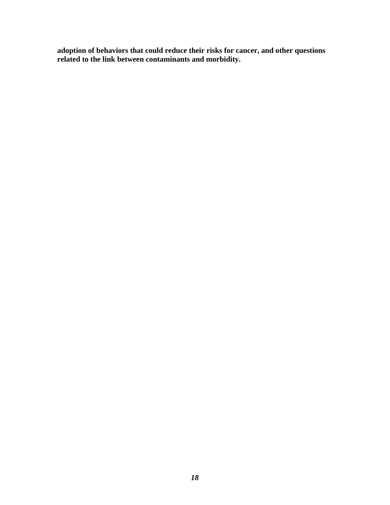**adoption of behaviors that could reduce their risks for cancer, and other questions related to the link between contaminants and morbidity.**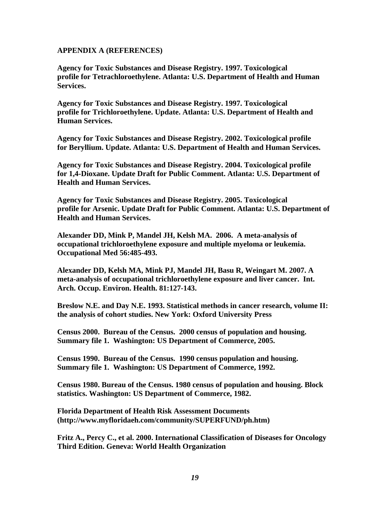#### <span id="page-22-0"></span>**APPENDIX A (REFERENCES)**

**Agency for Toxic Substances and Disease Registry. 1997. Toxicological profile for Tetrachloroethylene. Atlanta: U.S. Department of Health and Human Services.** 

**Agency for Toxic Substances and Disease Registry. 1997. Toxicological profile for Trichloroethylene. Update. Atlanta: U.S. Department of Health and Human Services.** 

**Agency for Toxic Substances and Disease Registry. 2002. Toxicological profile for Beryllium. Update. Atlanta: U.S. Department of Health and Human Services.** 

**Agency for Toxic Substances and Disease Registry. 2004. Toxicological profile for 1,4-Dioxane. Update Draft for Public Comment. Atlanta: U.S. Department of Health and Human Services.** 

**Agency for Toxic Substances and Disease Registry. 2005. Toxicological profile for Arsenic. Update Draft for Public Comment. Atlanta: U.S. Department of Health and Human Services.** 

**Alexander DD, Mink P, Mandel JH, Kelsh MA. 2006. A meta-analysis of occupational trichloroethylene exposure and multiple myeloma or leukemia. Occupational Med 56:485-493.** 

**Alexander DD, Kelsh MA, Mink PJ, Mandel JH, Basu R, Weingart M. 2007. A meta-analysis of occupational trichloroethylene exposure and liver cancer. Int. Arch. Occup. Environ. Health. 81:127-143.** 

**Breslow N.E. and Day N.E. 1993. Statistical methods in cancer research, volume II: the analysis of cohort studies. New York: Oxford University Press** 

**Census 2000. Bureau of the Census. 2000 census of population and housing. Summary file 1. Washington: US Department of Commerce, 2005.** 

**Census 1990. Bureau of the Census. 1990 census population and housing. Summary file 1. Washington: US Department of Commerce, 1992.** 

**Census 1980. Bureau of the Census. 1980 census of population and housing. Block statistics. Washington: US Department of Commerce, 1982.** 

**Florida Department of Health Risk Assessment Documents ([http://www.myfloridaeh.com/community/SUPERFUND/ph.htm\)](http://www.myfloridaeh.com/community/SUPERFUND/ph.htm)** 

**Fritz A., Percy C., et al. 2000. International Classification of Diseases for Oncology Third Edition. Geneva: World Health Organization**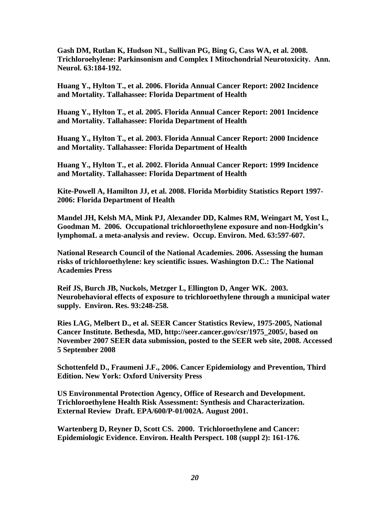**Gash DM, Rutlan K, Hudson NL, Sullivan PG, Bing G, Cass WA, et al. 2008. Trichloroehylene: Parkinsonism and Complex I Mitochondrial Neurotoxicity. Ann. Neurol. 63:184-192.** 

**Huang Y., Hylton T., et al. 2006. Florida Annual Cancer Report: 2002 Incidence and Mortality. Tallahassee: Florida Department of Health** 

**Huang Y., Hylton T., et al. 2005. Florida Annual Cancer Report: 2001 Incidence and Mortality. Tallahassee: Florida Department of Health** 

**Huang Y., Hylton T., et al. 2003. Florida Annual Cancer Report: 2000 Incidence and Mortality. Tallahassee: Florida Department of Health** 

**Huang Y., Hylton T., et al. 2002. Florida Annual Cancer Report: 1999 Incidence and Mortality. Tallahassee: Florida Department of Health** 

**Kite-Powell A, Hamilton JJ, et al. 2008. Florida Morbidity Statistics Report 1997- 2006: Florida Department of Health** 

**Mandel JH, Kelsh MA, Mink PJ, Alexander DD, Kalmes RM, Weingart M, Yost L, Goodman M. 2006. Occupational trichloroethylene exposure and non-Hodgkin's lymphomaL a meta-analysis and review. Occup. Environ. Med. 63:597-607.** 

**National Research Council of the National Academies. 2006. Assessing the human risks of trichloroethylene: key scientific issues. Washington D.C.: The National Academies Press** 

**Reif JS, Burch JB, Nuckols, Metzger L, Ellington D, Anger WK. 2003. Neurobehavioral effects of exposure to trichloroethylene through a municipal water supply. Environ. Res. 93:248-258.** 

**Ries LAG, Melbert D., et al. SEER Cancer Statistics Review, 1975-2005, National Cancer Institute. Bethesda, MD, http://seer.cancer.gov/csr/1975\_2005/, based on November 2007 SEER data submission, posted to the SEER web site, 2008. Accessed 5 September 2008** 

**Schottenfeld D., Fraumeni J.F., 2006. Cancer Epidemiology and Prevention, Third Edition. New York: Oxford University Press** 

**US Environmental Protection Agency, Office of Research and Development. Trichloroethylene Health Risk Assessment: Synthesis and Characterization. External Review Draft. EPA/600/P-01/002A. August 2001.** 

**Wartenberg D, Reyner D, Scott CS. 2000. Trichloroethylene and Cancer: Epidemiologic Evidence. Environ. Health Perspect. 108 (suppl 2): 161-176.**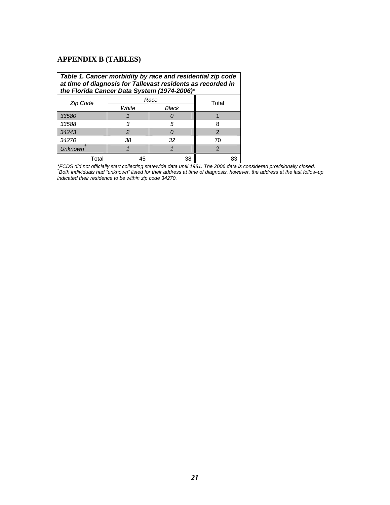#### <span id="page-24-0"></span>**APPENDIX B (TABLES)**

| Table 1. Cancer morbidity by race and residential zip code<br>at time of diagnosis for Tallevast residents as recorded in<br>the Florida Cancer Data System (1974-2006)* |               |               |               |  |
|--------------------------------------------------------------------------------------------------------------------------------------------------------------------------|---------------|---------------|---------------|--|
| Zip Code                                                                                                                                                                 |               | Race<br>Total |               |  |
|                                                                                                                                                                          | White         | Black         |               |  |
| 33580                                                                                                                                                                    |               |               |               |  |
| 33588                                                                                                                                                                    | 3             | 5             | 8             |  |
| 34243                                                                                                                                                                    | $\mathcal{P}$ |               | $\mathcal{P}$ |  |
| 34270                                                                                                                                                                    | 38            | 32            | 70            |  |
| Unknown <sup>†</sup>                                                                                                                                                     |               |               | $\mathcal{P}$ |  |
| Total                                                                                                                                                                    | 45            | 38            |               |  |

\*FCDS did not officially start collecting statewide data until 1981. The 2006 data is considered provisionally closed.<br><sup>†</sup>Both individuals had "unknown" listed for their address at time of diagnosis, however, the address a *indicated their residence to be within zip code 34270.*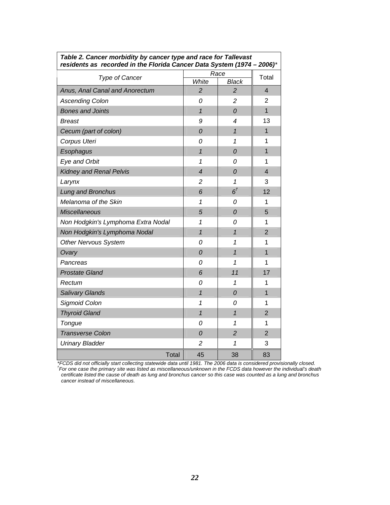| residents as "recorded in the Florida Cancer Data System (1974 – 2006) |                         | Race           |                |  |
|------------------------------------------------------------------------|-------------------------|----------------|----------------|--|
| Type of Cancer                                                         | White                   | <b>Black</b>   | Total          |  |
| Anus, Anal Canal and Anorectum                                         | $\overline{2}$          | $\overline{2}$ | $\overline{4}$ |  |
| <b>Ascending Colon</b>                                                 | 0                       | $\overline{c}$ | $\overline{2}$ |  |
| <b>Bones and Joints</b>                                                | $\mathbf{1}$            | 0              | $\mathbf{1}$   |  |
| <b>Breast</b>                                                          | 9                       | 4              | 13             |  |
| Cecum (part of colon)                                                  | 0                       | $\mathbf{1}$   | $\overline{1}$ |  |
| Corpus Uteri                                                           | 0                       | 1              | 1              |  |
| Esophagus                                                              | $\overline{\mathbf{1}}$ | 0              | $\overline{1}$ |  |
| Eye and Orbit                                                          | 1                       | 0              | 1              |  |
| Kidney and Renal Pelvis                                                | 4                       | 0              | $\overline{4}$ |  |
| Larynx                                                                 | $\overline{c}$          | 1              | 3              |  |
| Lung and Bronchus                                                      | 6                       | $6^{\dagger}$  | 12             |  |
| Melanoma of the Skin                                                   | 1                       | 0              | 1              |  |
| <b>Miscellaneous</b>                                                   | 5                       | 0              | 5              |  |
| Non Hodgkin's Lymphoma Extra Nodal                                     | 1                       | 0              | 1              |  |
| Non Hodgkin's Lymphoma Nodal                                           | $\overline{\mathbf{1}}$ | $\mathcal{I}$  | $\overline{2}$ |  |
| <b>Other Nervous System</b>                                            | 0                       | 1              | 1              |  |
| Ovary                                                                  | 0                       | $\mathbf{1}$   | $\overline{1}$ |  |
| Pancreas                                                               | 0                       | $\mathcal I$   | $\overline{1}$ |  |
| <b>Prostate Gland</b>                                                  | 6                       | 11             | 17             |  |
| Rectum                                                                 | 0                       | 1              | 1              |  |
| Salivary Glands                                                        | $\mathbf{1}$            | 0              | $\mathbf{1}$   |  |
| <b>Sigmoid Colon</b>                                                   | 1                       | 0              | 1              |  |
| <b>Thyroid Gland</b>                                                   | $\overline{1}$          | $\mathbf{1}$   | $\overline{2}$ |  |
| Tongue                                                                 | 0                       | 1              | 1              |  |
| <b>Transverse Colon</b>                                                | 0                       | $\overline{2}$ | $\overline{2}$ |  |
| <b>Urinary Bladder</b>                                                 | 2                       | 1              | 3              |  |
| Total                                                                  | 45                      | 38             | 83             |  |

<span id="page-25-0"></span>*Table 2. Cancer morbidity by cancer type and race for Tallevast residents as recorded in the Florida Cancer Data System (1974 – 2006)\** 

*\*FCDS did not officially start collecting statewide data until 1981. The 2006 data is considered provisionally closed. † For one case the primary site was listed as miscellaneous/unknown in the FCDS data however the individual's death certificate listed the cause of death as lung and bronchus cancer so this case was counted as a lung and bronchus cancer instead of miscellaneous.*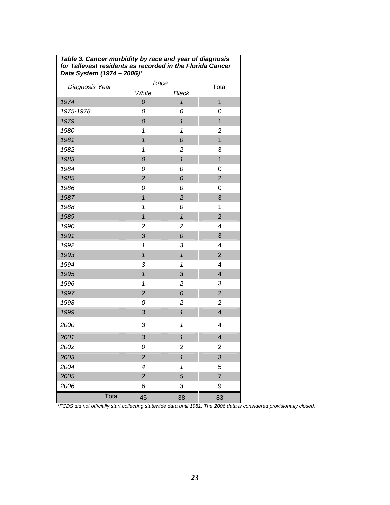<span id="page-26-0"></span>

| Table 3. Cancer morbidity by race and year of diagnosis   |
|-----------------------------------------------------------|
| for Tallevast residents as recorded in the Florida Cancer |
| Data System (1974 - 2006)*                                |

|                | Daia Jysiciii (1974 – 2000)<br>Race |                         |                         |  |
|----------------|-------------------------------------|-------------------------|-------------------------|--|
| Diagnosis Year | White                               | Black                   | Total                   |  |
| 1974           | ${\cal O}$                          | $\overline{1}$          | $\overline{1}$          |  |
| 1975-1978      | 0                                   | 0                       | 0                       |  |
| 1979           | $\overline{\mathcal{O}}$            | $\overline{1}$          | $\overline{1}$          |  |
| 1980           | $\overline{\mathbf{1}}$             | $\overline{\mathbf{1}}$ | $\overline{2}$          |  |
| 1981           | $\overline{1}$                      | ${\cal O}$              | $\overline{1}$          |  |
| 1982           | $\mathbf{1}$                        | $\overline{\mathbf{c}}$ | 3                       |  |
| 1983           | $\mathcal{O}$                       | $\overline{1}$          | $\overline{1}$          |  |
| 1984           | 0                                   | 0                       | 0                       |  |
| 1985           | $\overline{c}$                      | $\overline{O}$          | $\overline{2}$          |  |
| 1986           | 0                                   | 0                       | 0                       |  |
| 1987           | $\overline{1}$                      | $\overline{c}$          | 3                       |  |
| 1988           | $\mathbf{1}$                        | 0                       | $\mathbf 1$             |  |
| 1989           | $\overline{1}$                      | $\overline{1}$          | $\overline{2}$          |  |
| 1990           | $\overline{c}$                      | $\overline{c}$          | $\overline{\mathbf{4}}$ |  |
| 1991           | 3                                   | $\overline{O}$          | 3                       |  |
| 1992           | $\mathbf{1}$                        | 3                       | $\overline{4}$          |  |
| 1993           | $\overline{1}$                      | $\overline{1}$          | $\overline{2}$          |  |
| 1994           | 3                                   | $\mathbf{1}$            | 4                       |  |
| 1995           | $\overline{1}$                      | 3                       | $\overline{4}$          |  |
| 1996           | $\mathbf{1}$                        | $\overline{c}$          | 3                       |  |
| 1997           | $\overline{c}$                      | $\overline{O}$          | $\overline{2}$          |  |
| 1998           | 0                                   | $\overline{\mathbf{c}}$ | $\overline{2}$          |  |
| 1999           | 3                                   | $\overline{\mathbf{1}}$ | $\overline{4}$          |  |
| 2000           | 3                                   | $\mathbf{1}$            | $\overline{\mathbf{4}}$ |  |
| 2001           | 3                                   | $\overline{1}$          | $\overline{\mathbf{4}}$ |  |
| 2002           | 0                                   | $\overline{c}$          | $\overline{2}$          |  |
| 2003           | $\overline{c}$                      | $\overline{1}$          | 3                       |  |
| 2004           | $\overline{\mathcal{A}}$            | $\overline{\mathbf{1}}$ | 5                       |  |
| 2005           | $\overline{c}$                      | 5                       | $\overline{7}$          |  |
| 2006           | 6                                   | 3                       | 9                       |  |
| Total          | 45                                  | 38                      | 83                      |  |

*\*FCDS did not officially start collecting statewide data until 1981. The 2006 data is considered provisionally closed.*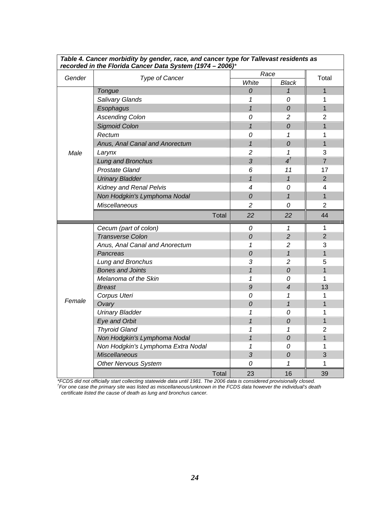|                          | recorded in the Florida Cancer Data System (1974 - 2006)* |                |                            |                         |  |
|--------------------------|-----------------------------------------------------------|----------------|----------------------------|-------------------------|--|
| Gender<br>Type of Cancer |                                                           | Race           |                            | Total                   |  |
|                          |                                                           |                | <b>Black</b>               |                         |  |
|                          | Tongue                                                    | 0              | $\mathbf{1}$               | $\overline{1}$          |  |
|                          | Salivary Glands                                           | 1              | 0                          | 1                       |  |
|                          | Esophagus                                                 | $\overline{1}$ | $\mathcal O$               | $\mathbf{1}$            |  |
| <b>Ascending Colon</b>   |                                                           | 0              | $\overline{c}$             | $\overline{2}$          |  |
|                          | <b>Sigmoid Colon</b>                                      | $\mathbf{1}$   | $\mathcal O$               | $\mathbf{1}$            |  |
|                          | Rectum                                                    | 0              | 1                          | 1                       |  |
|                          | Anus, Anal Canal and Anorectum                            | $\mathbf{1}$   | $\mathcal O$               | $\mathbf{1}$            |  |
| Male                     | Larynx                                                    | $\overline{c}$ | 1                          | 3                       |  |
|                          | Lung and Bronchus                                         | 3              | $4^{\dagger}$              | $\overline{7}$          |  |
|                          | <b>Prostate Gland</b>                                     | 6              | 11                         | 17                      |  |
|                          | <b>Urinary Bladder</b>                                    | $\mathbf{1}$   | $\mathbf{1}$               | $\overline{2}$          |  |
|                          | Kidney and Renal Pelvis                                   | 4              | 0                          | 4                       |  |
|                          | Non Hodgkin's Lymphoma Nodal                              | 0              | $\mathbf{1}$               | $\overline{1}$          |  |
|                          | <b>Miscellaneous</b>                                      | $\overline{c}$ | 0                          | $\overline{2}$          |  |
|                          | <b>Total</b>                                              | 22             | 22                         | 44                      |  |
|                          | Cecum (part of colon)                                     | 0              | 1                          | 1                       |  |
|                          | <b>Transverse Colon</b>                                   | $\mathcal O$   | $\overline{c}$             | $\overline{2}$          |  |
|                          | Anus, Anal Canal and Anorectum                            | 1              | $\overline{2}$             | 3                       |  |
|                          | Pancreas                                                  | 0              | $\boldsymbol{\mathcal{L}}$ | $\mathbf{1}$            |  |
|                          | Lung and Bronchus                                         | 3              | $\overline{2}$             | 5                       |  |
|                          | <b>Bones and Joints</b>                                   | $\mathbf{1}$   | $\mathcal O$               | $\mathbf{1}$            |  |
|                          | Melanoma of the Skin                                      | 1              | 0                          | 1                       |  |
|                          | <b>Breast</b>                                             | 9              | $\overline{4}$             | 13                      |  |
|                          | Corpus Uteri                                              | 0              | 1                          | 1                       |  |
| Female                   | Ovary                                                     | ${\cal O}$     | $\mathbf{1}$               | $\mathbf{1}$            |  |
|                          | <b>Urinary Bladder</b>                                    | 1              | 0                          | 1                       |  |
|                          | Eye and Orbit                                             | $\mathbf{1}$   | $\mathcal O$               | $\mathbf{1}$            |  |
|                          | <b>Thyroid Gland</b>                                      | 1              | 1                          | $\overline{2}$          |  |
|                          | Non Hodgkin's Lymphoma Nodal                              | 1              | $\mathcal O$               | $\overline{\mathbf{1}}$ |  |
|                          | Non Hodgkin's Lymphoma Extra Nodal                        | 1              | 0                          | 1                       |  |
|                          | <b>Miscellaneous</b>                                      | 3              | $\mathcal O$               | 3                       |  |
|                          | Other Nervous System                                      | 0              | 1                          | 1                       |  |
|                          | Total                                                     | 23             | 16                         | 39                      |  |

<span id="page-27-0"></span>*Table 4. Cancer morbidity by gender, race, and cancer type for Tallevast residents as* 

\*FCDS did not officially start collecting statewide data until 1981. The 2006 data is considered provisionally closed.<br><sup>†</sup>For one case the primary site was listed as miscellaneous/unknown in the FCDS data however the indiv *certificate listed the cause of death as lung and bronchus cancer.*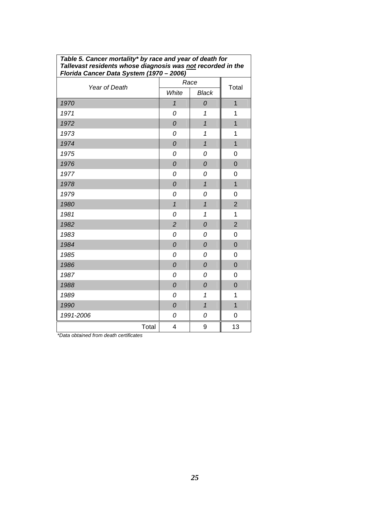| Florida Cancer Data System (1970 - 2006) |                |                |                |
|------------------------------------------|----------------|----------------|----------------|
| Year of Death                            | Race           |                | Total          |
|                                          | White          | <b>Black</b>   |                |
| 1970                                     | $\mathbf{1}$   | 0              | $\overline{1}$ |
| 1971                                     | 0              | 1              | 1              |
| 1972                                     | ${\cal O}$     | $\overline{1}$ | $\overline{1}$ |
| 1973                                     | 0              | 1              | 1              |
| 1974                                     | $\mathcal O$   | $\overline{1}$ | $\overline{1}$ |
| 1975                                     | 0              | 0              | 0              |
| 1976                                     | $\overline{O}$ | 0              | $\overline{0}$ |
| 1977                                     | 0              | 0              | 0              |
| 1978                                     | $\overline{O}$ | $\mathbf{1}$   | $\overline{1}$ |
| 1979                                     | 0              | 0              | 0              |
| 1980                                     | $\overline{1}$ | $\mathbf{1}$   | $\overline{2}$ |
| 1981                                     | 0              | 1              | 1              |
| 1982                                     | $\overline{2}$ | 0              | $\overline{2}$ |
| 1983                                     | 0              | 0              | $\overline{0}$ |
| 1984                                     | $\overline{O}$ | 0              | $\overline{0}$ |
| 1985                                     | 0              | 0              | $\mathbf 0$    |
| 1986                                     | $\mathcal O$   | 0              | $\mathbf 0$    |
| 1987                                     | 0              | 0              | 0              |
| 1988                                     | 0              | 0              | $\overline{0}$ |
| 1989                                     | 0              | $\mathbf 1$    | 1              |
| 1990                                     | $\overline{O}$ | $\overline{1}$ | $\overline{1}$ |
| 1991-2006                                | 0              | 0              | $\mathbf 0$    |
| Total                                    | 4              | 9              | 13             |

<span id="page-28-0"></span>*Table 5. Cancer mortality\* by race and year of death for Tallevast residents whose diagnosis was not recorded in the* 

*\*Data obtained from death certificates*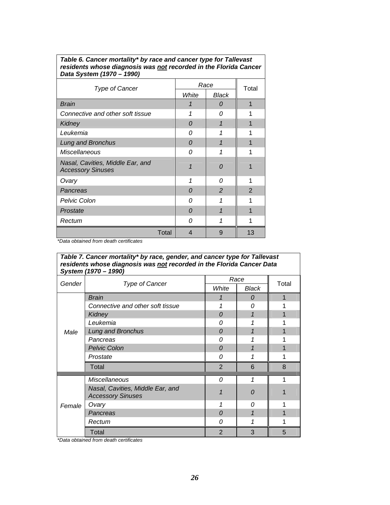<span id="page-29-0"></span>

| Table 6. Cancer mortality* by race and cancer type for Tallevast |
|------------------------------------------------------------------|
| residents whose diagnosis was not recorded in the Florida Cancer |
| Data System (1970 – 1990)                                        |

|                                                              | Race     |                |                |  |
|--------------------------------------------------------------|----------|----------------|----------------|--|
| <b>Type of Cancer</b>                                        | White    | Black          | Total          |  |
|                                                              |          |                |                |  |
| <b>Brain</b>                                                 |          | 0              |                |  |
| Connective and other soft tissue                             | 1        | 0              |                |  |
| <b>Kidney</b>                                                | 0        |                |                |  |
| Leukemia                                                     | 0        | 1              |                |  |
| Lung and Bronchus                                            | $\Omega$ | 1              |                |  |
| <b>Miscellaneous</b>                                         | 0        | 1              |                |  |
| Nasal, Cavities, Middle Ear, and<br><b>Accessory Sinuses</b> |          | $\Omega$       |                |  |
| Ovary                                                        | 1        | 0              | 1              |  |
| Pancreas                                                     | $\Omega$ | $\overline{2}$ | $\overline{2}$ |  |
| Pelvic Colon                                                 | 0        |                |                |  |
| Prostate                                                     | $\Omega$ | 1              |                |  |
| Rectum                                                       | Ω        |                |                |  |
| <b>Total</b>                                                 | 4        | 9              | 13             |  |

*\*Data obtained from death certificates* 

| Table 7. Cancer mortality* by race, gender, and cancer type for Tallevast<br>residents whose diagnosis was not recorded in the Florida Cancer Data<br>System (1970 - 1990) |                                                              |                |          |       |  |  |  |
|----------------------------------------------------------------------------------------------------------------------------------------------------------------------------|--------------------------------------------------------------|----------------|----------|-------|--|--|--|
| Gender                                                                                                                                                                     |                                                              |                | Race     | Total |  |  |  |
|                                                                                                                                                                            | Type of Cancer                                               | White          | Black    |       |  |  |  |
|                                                                                                                                                                            | <b>Brain</b>                                                 |                | 0        |       |  |  |  |
|                                                                                                                                                                            | Connective and other soft tissue                             |                | 0        |       |  |  |  |
|                                                                                                                                                                            | Kidney                                                       | $\Omega$       | 1        |       |  |  |  |
|                                                                                                                                                                            | Leukemia                                                     | 0              | 1        |       |  |  |  |
| Male                                                                                                                                                                       | Lung and Bronchus                                            | $\Omega$       |          |       |  |  |  |
|                                                                                                                                                                            | Pancreas                                                     | 0              |          |       |  |  |  |
|                                                                                                                                                                            | <b>Pelvic Colon</b>                                          | 0              |          |       |  |  |  |
|                                                                                                                                                                            | Prostate                                                     | 0              | 1        |       |  |  |  |
|                                                                                                                                                                            | Total                                                        | $\overline{2}$ | 6        | 8     |  |  |  |
|                                                                                                                                                                            | <b>Miscellaneous</b>                                         | $\Omega$       |          |       |  |  |  |
|                                                                                                                                                                            | Nasal, Cavities, Middle Ear, and<br><b>Accessory Sinuses</b> |                | $\Omega$ |       |  |  |  |
| Female                                                                                                                                                                     | Ovary                                                        | 1              | 0        |       |  |  |  |
|                                                                                                                                                                            | Pancreas                                                     | $\Omega$       | 1        |       |  |  |  |
|                                                                                                                                                                            | Rectum                                                       | 0              |          |       |  |  |  |
|                                                                                                                                                                            | Total                                                        | $\overline{2}$ | 3        | 5     |  |  |  |

*\*Data obtained from death certificates*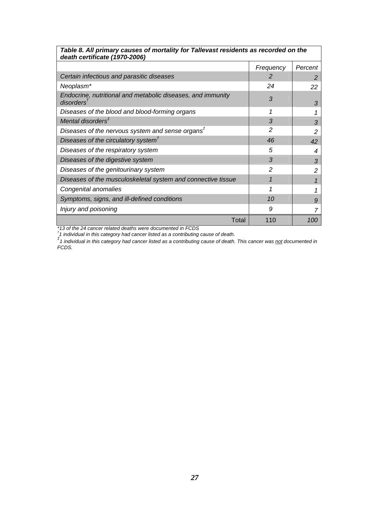| Table 8. All primary causes of mortality for Tallevast residents as recorded on the<br>death certificate (1970-2006) |                |         |  |  |  |  |
|----------------------------------------------------------------------------------------------------------------------|----------------|---------|--|--|--|--|
|                                                                                                                      | Frequency      | Percent |  |  |  |  |
| Certain infectious and parasitic diseases                                                                            | 2              | 2       |  |  |  |  |
| Neoplasm*                                                                                                            | 24             | 22      |  |  |  |  |
| Endocrine, nutritional and metabolic diseases, and immunity<br>disorders $^\dagger$                                  | 3              | 3       |  |  |  |  |
| Diseases of the blood and blood-forming organs                                                                       | 1              |         |  |  |  |  |
| Mental disorders <sup>#</sup>                                                                                        | 3              | 3       |  |  |  |  |
| Diseases of the nervous system and sense organs $t$                                                                  | $\mathcal{P}$  | 2       |  |  |  |  |
| Diseases of the circulatory system $t$                                                                               | 46             | 42      |  |  |  |  |
| Diseases of the respiratory system                                                                                   | 5              | 4       |  |  |  |  |
| Diseases of the digestive system                                                                                     | 3              | 3       |  |  |  |  |
| Diseases of the genitourinary system                                                                                 | $\mathfrak{p}$ | 2       |  |  |  |  |
| Diseases of the musculoskeletal system and connective tissue                                                         |                |         |  |  |  |  |
| Congenital anomalies                                                                                                 |                |         |  |  |  |  |
| Symptoms, signs, and ill-defined conditions                                                                          | 10             | 9       |  |  |  |  |
| Injury and poisoning                                                                                                 | 9              |         |  |  |  |  |
| Total                                                                                                                | 110            | 100     |  |  |  |  |

<span id="page-30-0"></span>*Table 8. All primary causes of mortality for Tallevast residents as recorded on the* 

٦

\*13 of the 24 cancer related deaths were documented in FCDS<br><sup>†</sup>1 individual in this category had cancer listed as a contributing cause of death.<br><sup>‡</sup>1 individual in this category had cancer listed as a contributing cause of *FCDS.*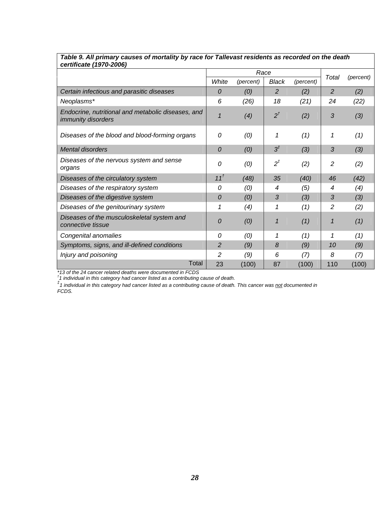|                                                                                 |                 |           | Race           |           |                |           |
|---------------------------------------------------------------------------------|-----------------|-----------|----------------|-----------|----------------|-----------|
|                                                                                 | White           | (percent) | <b>Black</b>   | (percent) | Total          | (percent) |
| Certain infectious and parasitic diseases                                       | $\theta$        | (0)       | 2              | (2)       | 2              | (2)       |
| Neoplasms*                                                                      | 6               | (26)      | 18             | (21)      | 24             | (22)      |
| Endocrine, nutritional and metabolic diseases, and<br><i>immunity disorders</i> | 1               | (4)       | $2^{\dagger}$  | (2)       | 3              | (3)       |
| Diseases of the blood and blood-forming organs                                  | 0               | (0)       | 1              | (1)       | 1              | (1)       |
| <b>Mental disorders</b>                                                         | $\overline{0}$  | (0)       | $3^{\ddagger}$ | (3)       | 3              | (3)       |
| Diseases of the nervous system and sense<br>organs                              | 0               | (0)       | $2^{\ddagger}$ | (2)       | $\overline{c}$ | (2)       |
| Diseases of the circulatory system                                              | 11 <sup>t</sup> | (48)      | 35             | (40)      | 46             | (42)      |
| Diseases of the respiratory system                                              | 0               | (0)       | 4              | (5)       | 4              | (4)       |
| Diseases of the digestive system                                                | 0               | (0)       | 3              | (3)       | 3              | (3)       |
| Diseases of the genitourinary system                                            | 1               | (4)       | 1              | (1)       | 2              | (2)       |
| Diseases of the musculoskeletal system and<br>connective tissue                 | $\overline{0}$  | (0)       | $\mathbf{1}$   | (1)       | 1              | (1)       |
| Congenital anomalies                                                            | 0               | (0)       | 1              | (1)       | 1              | (1)       |
| Symptoms, signs, and ill-defined conditions                                     | $\overline{2}$  | (9)       | 8              | (9)       | 10             | (9)       |
| Injury and poisoning                                                            | 2               | (9)       | 6              | (7)       | 8              | (7)       |
| Total                                                                           | 23              | (100)     | 87             | (100)     | 110            | (100)     |

#### <span id="page-31-0"></span>*Table 9. All primary causes of mortality by race for Tallevast residents as recorded on the death certificate (1970-2006)*

\*13 of the 24 cancer related deaths were documented in FCDS<br><sup>†</sup>1 individual in this category had cancer listed as a contributing cause of death.<br><sup>‡</sup>1 individual in this category had cancer listed as a contributing cause of *FCDS.*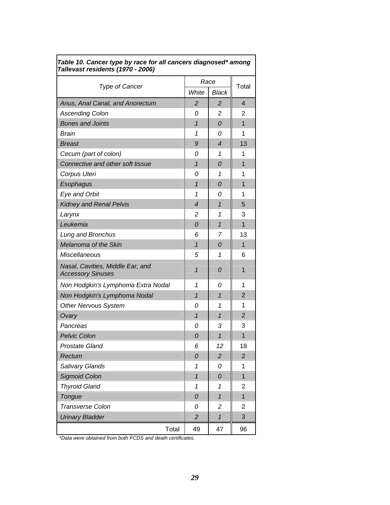| Tallevast residents (1970 - 2006)                            |                          |                          |                |
|--------------------------------------------------------------|--------------------------|--------------------------|----------------|
|                                                              | Race                     | Total                    |                |
| <b>Type of Cancer</b>                                        | White                    | <b>Black</b>             |                |
| Anus, Anal Canal, and Anorectum                              | $\overline{2}$           | $\overline{2}$           | 4              |
| <b>Ascending Colon</b>                                       | 0                        | 2                        | 2              |
| <b>Bones and Joints</b>                                      | $\mathbf{1}$             | 0                        | 1              |
| Brain                                                        | 1                        | 0                        | 1              |
| <b>Breast</b>                                                | 9                        | $\overline{\mathcal{A}}$ | 13             |
| Cecum (part of colon)                                        | 0                        | 1                        | 1              |
| Connective and other soft tissue                             | $\mathbf{1}$             | 0                        | 1              |
| Corpus Uteri                                                 | 0                        | 1                        | 1              |
| Esophagus                                                    | $\mathbf{1}$             | 0                        | 1              |
| Eye and Orbit                                                | 1                        | 0                        | 1              |
| <b>Kidney and Renal Pelvis</b>                               | $\overline{\mathcal{A}}$ | $\overline{1}$           | 5              |
| Larynx                                                       | 2                        | 1                        | 3              |
| Leukemia                                                     | 0                        | $\mathbf{1}$             | 1              |
| Lung and Bronchus                                            | 6                        | 7                        | 13             |
| Melanoma of the Skin                                         | $\mathbf{1}$             | 0                        | $\mathbf{1}$   |
| Miscellaneous                                                | 5                        | 1                        | 6              |
| Nasal, Cavities, Middle Ear, and<br><b>Accessory Sinuses</b> | $\mathbf{1}$             | 0                        | 1              |
| Non Hodgkin's Lymphoma Extra Nodal                           | 1                        | 0                        | 1              |
| Non Hodgkin's Lymphoma Nodal                                 | $\mathbf{1}$             | 1                        | 2              |
| <b>Other Nervous System</b>                                  | 0                        | 1                        | 1              |
| Ovary                                                        | $\overline{1}$           | $\mathbf{1}$             | $\overline{2}$ |
| Pancreas                                                     | 0                        | 3                        | 3              |
| <b>Pelvic Colon</b>                                          | 0                        | $\mathbf{1}$             | 1              |
| <b>Prostate Gland</b>                                        | 6                        | 12                       | 18             |
| Rectum                                                       | 0                        | $\overline{\mathbf{c}}$  | $\overline{2}$ |
| Salivary Glands                                              | 1                        | 0                        | 1              |
| <b>Sigmoid Colon</b>                                         | $\overline{1}$           | 0                        | $\overline{1}$ |
| <b>Thyroid Gland</b>                                         | 1                        | 1                        | 2              |
| Tongue                                                       | 0                        | $\overline{1}$           | $\overline{1}$ |
| <b>Transverse Colon</b>                                      | 0                        | 2                        | $\overline{c}$ |
| <b>Urinary Bladder</b>                                       | $\overline{c}$           | $\mathbf{1}$             | 3              |
| Total                                                        | 49                       | 47                       | 96             |

#### <span id="page-32-0"></span>*Table 10. Cancer type by race for all cancers diagnosed\* among Tallevast residents (1970 - 2006)*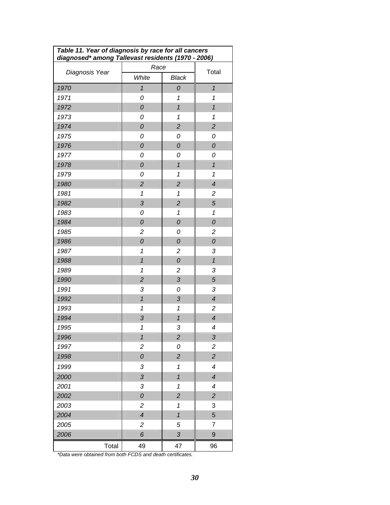<span id="page-33-0"></span>

| Table 11. Year of diagnosis by race for all cancers<br>diagnosed* among Tallevast residents (1970 - 2006) |                          |                            |                           |  |  |
|-----------------------------------------------------------------------------------------------------------|--------------------------|----------------------------|---------------------------|--|--|
|                                                                                                           | Race                     |                            |                           |  |  |
| Diagnosis Year                                                                                            | White                    | <b>Black</b>               | Total                     |  |  |
| 1970                                                                                                      | $\overline{1}$           | 0                          | $\overline{1}$            |  |  |
| 1971                                                                                                      | 0                        | 1                          | $\mathbf 1$               |  |  |
| 1972                                                                                                      | 0                        | $\overline{1}$             | $\overline{1}$            |  |  |
| 1973                                                                                                      | 0                        | 1                          | $\overline{1}$            |  |  |
| 1974                                                                                                      | 0                        | $\overline{c}$             | $\overline{c}$            |  |  |
| 1975                                                                                                      | 0                        | 0                          | 0                         |  |  |
| 1976                                                                                                      | 0                        | 0                          | 0                         |  |  |
| 1977                                                                                                      | 0                        | 0                          | 0                         |  |  |
| 1978                                                                                                      | 0                        | $\overline{1}$             | $\mathbf{1}$              |  |  |
| 1979                                                                                                      | 0                        | 1                          | $\mathbf 1$               |  |  |
| 1980                                                                                                      | $\overline{c}$           | $\overline{c}$             | $\overline{\mathcal{A}}$  |  |  |
| 1981                                                                                                      | 1                        | 1                          | $\overline{c}$            |  |  |
| 1982                                                                                                      | 3                        | $\overline{c}$             | 5                         |  |  |
| 1983                                                                                                      | 0                        | 1                          | $\mathbf 1$               |  |  |
| 1984                                                                                                      | 0                        | 0                          | 0                         |  |  |
| 1985                                                                                                      | $\overline{c}$           | 0                          | $\overline{c}$            |  |  |
| 1986                                                                                                      | 0                        | 0                          | 0                         |  |  |
| 1987                                                                                                      | 1                        | $\overline{c}$             | 3                         |  |  |
| 1988                                                                                                      | $\overline{1}$           | 0                          | $\mathbf{1}$              |  |  |
| 1989                                                                                                      | 1                        | $\overline{c}$             | 3                         |  |  |
| 1990                                                                                                      | $\overline{c}$           | 3                          | 5                         |  |  |
| 1991                                                                                                      | 3                        | 0                          | 3                         |  |  |
| 1992                                                                                                      | $\mathbf{1}$             | 3                          | $\overline{\mathcal{A}}$  |  |  |
| 1993                                                                                                      | 1                        | $\mathbf{1}$               | $\overline{c}$            |  |  |
| 1994                                                                                                      | 3                        | $\mathbf{1}$               | $\overline{\mathcal{A}}$  |  |  |
| 1995                                                                                                      | 1                        | 3                          | 4                         |  |  |
| 1996                                                                                                      | $\mathbf{1}$             | $\boldsymbol{2}$           | $\ensuremath{\mathsf{3}}$ |  |  |
| 1997                                                                                                      | $\overline{c}$           | 0                          | $\overline{c}$            |  |  |
| 1998                                                                                                      | 0                        | $\overline{c}$             | $\overline{c}$            |  |  |
| 1999                                                                                                      | 3                        | $\mathbf 1$                | $\overline{\mathcal{A}}$  |  |  |
| 2000                                                                                                      | 3                        | $\mathbf{1}$               | $\overline{\mathcal{A}}$  |  |  |
| 2001                                                                                                      | 3                        | 1                          | $\boldsymbol{4}$          |  |  |
| 2002                                                                                                      | 0                        | $\overline{c}$             | $\overline{c}$            |  |  |
| 2003                                                                                                      | 2                        | $\boldsymbol{\mathcal{L}}$ | 3                         |  |  |
| 2004                                                                                                      | $\overline{\mathcal{A}}$ | $\mathbf{1}$               | 5                         |  |  |
| 2005                                                                                                      | $\mathbf{2}$             | 5                          | $\overline{7}$            |  |  |
| 2006                                                                                                      | 6                        | 3                          | 9                         |  |  |
| Total                                                                                                     | 49                       | 47                         | 96                        |  |  |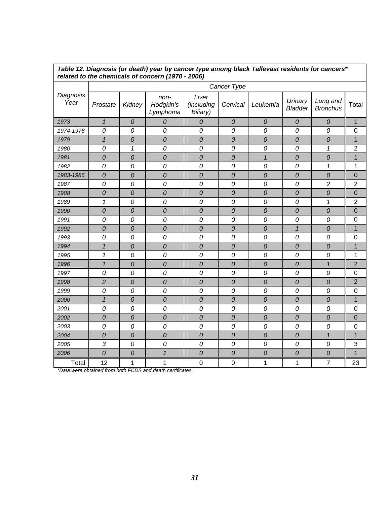|                   | related to the chemicals of concern (1970 - 2006) |              |                               |                                 |              |              |                           |                             |                |  |
|-------------------|---------------------------------------------------|--------------|-------------------------------|---------------------------------|--------------|--------------|---------------------------|-----------------------------|----------------|--|
|                   |                                                   |              |                               |                                 | Cancer Type  |              |                           |                             |                |  |
| Diagnosis<br>Year | Prostate                                          | Kidney       | non-<br>Hodgkin's<br>Lymphoma | Liver<br>(including<br>Biliary) | Cervical     | Leukemia     | Urinary<br><b>Bladder</b> | Lung and<br><b>Bronchus</b> | Total          |  |
| 1973              | $\mathbf{1}$                                      | ${\cal O}$   | ${\cal O}$                    | $\mathcal O$                    | ${\cal O}$   | ${\cal O}$   | ${\cal O}$                | ${\cal O}$                  | $\mathbf 1$    |  |
| 1974-1978         | 0                                                 | 0            | 0                             | 0                               | 0            | 0            | 0                         | 0                           | 0              |  |
| 1979              | $\mathcal I$                                      | 0            | $\mathcal O$                  | 0                               | 0            | $\mathcal O$ | $\overline{O}$            | 0                           | $\overline{1}$ |  |
| 1980              | 0                                                 | 1            | 0                             | 0                               | 0            | 0            | 0                         | 1                           | $\overline{2}$ |  |
| 1981              | ${\cal O}$                                        | 0            | ${\cal O}$                    | 0                               | 0            | $\mathbf{1}$ | 0                         | ${\cal O}$                  | $\mathbf 1$    |  |
| 1982              | 0                                                 | 0            | 0                             | 0                               | 0            | 0            | 0                         | 1                           | 1              |  |
| 1983-1986         | ${\cal O}$                                        | 0            | $\cal O$                      | $\mathcal O$                    | 0            | ${\cal O}$   | 0                         | ${\cal O}$                  | 0              |  |
| 1987              | 0                                                 | 0            | 0                             | 0                               | 0            | 0            | 0                         | $\overline{c}$              | $\overline{2}$ |  |
| 1988              | $\cal O$                                          | 0            | $\cal O$                      | 0                               | 0            | $\cal O$     | 0                         | ${\cal O}$                  | $\overline{0}$ |  |
| 1989              | 1                                                 | 0            | 0                             | 0                               | 0            | 0            | 0                         | 1                           | $\overline{2}$ |  |
| 1990              | $\mathcal O$                                      | 0            | $\mathcal O$                  | $\overline{O}$                  | $\mathcal O$ | $\mathcal O$ | $\overline{O}$            | $\mathcal O$                | $\overline{0}$ |  |
| 1991              | 0                                                 | 0            | 0                             | 0                               | 0            | 0            | 0                         | 0                           | 0              |  |
| 1992              | 0                                                 | 0            | $\mathcal O$                  | 0                               | 0            | $\mathcal O$ | $\mathbf{1}$              | $\mathcal O$                | $\overline{1}$ |  |
| 1993              | 0                                                 | 0            | 0                             | 0                               | 0            | 0            | 0                         | 0                           | 0              |  |
| 1994              | $\mathbf{1}$                                      | $\mathcal O$ | $\cal O$                      | $\mathcal O$                    | $\mathcal O$ | $\cal O$     | $\mathcal O$              | $\mathcal O$                | $\mathbf 1$    |  |
| 1995              | 1                                                 | 0            | 0                             | 0                               | 0            | 0            | 0                         | 0                           | 1              |  |
| 1996              | $\overline{1}$                                    | 0            | $\mathcal O$                  | 0                               | 0            | $\mathcal O$ | 0                         | $\overline{1}$              | $\overline{2}$ |  |
| 1997              | 0                                                 | 0            | 0                             | 0                               | 0            | 0            | 0                         | 0                           | 0              |  |
| 1998              | $\overline{c}$                                    | $\mathcal O$ | $\mathcal O$                  | 0                               | $\mathcal O$ | 0            | 0                         | 0                           | 2              |  |
| 1999              | 0                                                 | 0            | 0                             | 0                               | 0            | 0            | 0                         | 0                           | 0              |  |
| 2000              | $\mathbf{1}$                                      | 0            | $\mathcal O$                  | 0                               | $\mathcal O$ | $\mathcal O$ | $\overline{O}$            | 0                           | $\overline{1}$ |  |
| 2001              | 0                                                 | 0            | 0                             | 0                               | 0            | 0            | 0                         | 0                           | 0              |  |
| 2002              | ${\cal O}$                                        | $\mathcal O$ | $\cal O$                      | 0                               | $\mathcal O$ | $\cal O$     | ${\cal O}$                | $\mathcal O$                | 0              |  |
| 2003              | 0                                                 | 0            | 0                             | 0                               | 0            | 0            | 0                         | 0                           | 0              |  |
| 2004              | ${\cal O}$                                        | 0            | $\cal O$                      | 0                               | 0            | $\cal O$     | $\mathcal O$              | $\mathbf{1}$                | $\overline{1}$ |  |
| 2005              | 3                                                 | 0            | 0                             | 0                               | 0            | 0            | 0                         | 0                           | 3              |  |
| 2006              | $\cal O$                                          | 0            | $\mathbf{1}$                  | 0                               | 0            | 0            | 0                         | ${\cal O}$                  | $\overline{1}$ |  |
| Total             | 12                                                | 1            | 1                             | $\mathbf 0$                     | 0            | 1            | 1                         | 7                           | 23             |  |

<span id="page-34-0"></span>*Table 12. Diagnosis (or death) year by cancer type among black Tallevast residents for cancers\**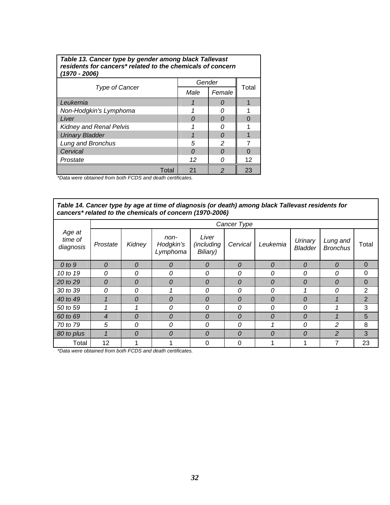<span id="page-35-0"></span>

| Table 13. Cancer type by gender among black Tallevast<br>residents for cancers* related to the chemicals of concern<br>(1970 - 2006) |          |          |       |  |  |  |
|--------------------------------------------------------------------------------------------------------------------------------------|----------|----------|-------|--|--|--|
|                                                                                                                                      | Gender   |          |       |  |  |  |
| <b>Type of Cancer</b>                                                                                                                | Male     | Female   | Total |  |  |  |
| Leukemia                                                                                                                             |          | $\Omega$ |       |  |  |  |
| Non-Hodgkin's Lymphoma                                                                                                               |          | n        |       |  |  |  |
| Liver                                                                                                                                | $\Omega$ | $\Omega$ |       |  |  |  |
| <b>Kidney and Renal Pelvis</b>                                                                                                       |          | n        |       |  |  |  |
| <b>Urinary Bladder</b>                                                                                                               |          | $\Omega$ |       |  |  |  |
| Lung and Bronchus                                                                                                                    | 5        | 2        |       |  |  |  |
| Cervical                                                                                                                             | n        | $\Omega$ |       |  |  |  |
| Prostate                                                                                                                             | 12       | n        | 12    |  |  |  |
| Total                                                                                                                                | 21       | 2        | 23    |  |  |  |

*\*Data were obtained from both FCDS and death certificates.*

*Table 14. Cancer type by age at time of diagnosis (or death) among black Tallevast residents for cancers\* related to the chemicals of concern (1970-2006)* 

|                                |                | Cancer Type |                               |                                 |                |          |                           |                             |                |
|--------------------------------|----------------|-------------|-------------------------------|---------------------------------|----------------|----------|---------------------------|-----------------------------|----------------|
| Age at<br>time of<br>diagnosis | Prostate       | Kidney      | non-<br>Hodgkin's<br>Lymphoma | Liver<br>(including<br>Biliary) | Cervical       | Leukemia | Urinary<br><b>Bladder</b> | Lung and<br><b>Bronchus</b> | Total          |
| $0$ to $9$                     | 0              | 0           | 0                             | $\boldsymbol{0}$                | $\overline{O}$ | 0        | 0                         | $\overline{0}$              | $\mathbf 0$    |
| 10 to 19                       | 0              | 0           | 0                             | 0                               | 0              | 0        | 0                         | 0                           | $\mathbf{0}$   |
| 20 to 29                       | 0              | 0           | 0                             | 0                               | 0              | 0        | 0                         | $\theta$                    | $\mathbf 0$    |
| 30 to 39                       | 0              | 0           |                               | 0                               | 0              | 0        |                           | $\Omega$                    | $\overline{2}$ |
| 40 to 49                       |                | 0           | 0                             | 0                               | 0              | 0        | 0                         |                             | 2              |
| 50 to 59                       |                |             | 0                             | 0                               | 0              | 0        | 0                         |                             | 3              |
| 60 to 69                       | $\overline{4}$ | 0           | $\overline{O}$                | $\overline{O}$                  | $\theta$       | 0        | 0                         |                             | 5              |
| 70 to 79                       | 5              | 0           | 0                             | 0                               | 0              |          | 0                         | $\mathcal{P}$               | 8              |
| 80 to plus                     |                | 0           | $\overline{O}$                | $\overline{O}$                  | 0              | 0        | 0                         | $\overline{2}$              | 3              |
| Total                          | 12             |             |                               | $\Omega$                        | $\Omega$       |          |                           | 7                           | 23             |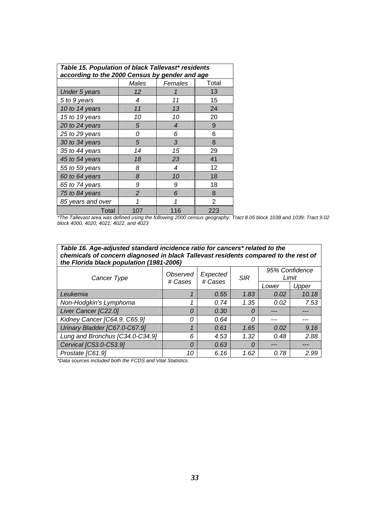<span id="page-36-0"></span>

| Table 15. Population of black Tallevast* residents<br>according to the 2000 Census by gender and age |                   |         |                |  |  |  |  |  |
|------------------------------------------------------------------------------------------------------|-------------------|---------|----------------|--|--|--|--|--|
|                                                                                                      | Males             | Females | Total          |  |  |  |  |  |
|                                                                                                      | 12                |         | 13             |  |  |  |  |  |
| <b>Under 5 years</b>                                                                                 |                   |         |                |  |  |  |  |  |
| 5 to 9 years                                                                                         | 4                 | 11      | 15             |  |  |  |  |  |
| 10 to 14 years                                                                                       | 11                | 13      | 24             |  |  |  |  |  |
| 15 to 19 years                                                                                       | 10                | 10      | 20             |  |  |  |  |  |
| 20 to 24 years                                                                                       | 5                 | 4       | 9              |  |  |  |  |  |
| 25 to 29 years                                                                                       | 0                 | 6       | 6              |  |  |  |  |  |
| 30 to 34 years                                                                                       | 5                 | 3       | 8              |  |  |  |  |  |
| 35 to 44 years                                                                                       | 14                | 15      | 29             |  |  |  |  |  |
| 45 to 54 years                                                                                       | 18                | 23      | 41             |  |  |  |  |  |
| 55 to 59 years                                                                                       | 8                 | 4       | 12             |  |  |  |  |  |
| 60 to 64 years                                                                                       | 8                 | 10      | 18             |  |  |  |  |  |
| 65 to 74 years                                                                                       | 9                 | 9       | 18             |  |  |  |  |  |
| 75 to 84 years                                                                                       | $\mathcal{P}$     | 6       | 8              |  |  |  |  |  |
| 85 years and over                                                                                    | 1                 | 1       | $\overline{2}$ |  |  |  |  |  |
| Total                                                                                                | 223<br>107<br>116 |         |                |  |  |  |  |  |

*\*The Tallevast area was defined using the following 2000 census geography: Tract 8.05 block 1038 and 1039; Tract 9.02 block 4000, 4020, 4021, 4022, and 4023* 

| Table 16. Age-adjusted standard incidence ratio for cancers* related to the         |  |  |  |  |  |  |  |
|-------------------------------------------------------------------------------------|--|--|--|--|--|--|--|
| chemicals of concern diagnosed in black Tallevast residents compared to the rest of |  |  |  |  |  |  |  |
| the Florida black population (1981-2006)                                            |  |  |  |  |  |  |  |
|                                                                                     |  |  |  |  |  |  |  |

| Cancer Type                     | Observed<br># Cases | Expected<br># Cases | <b>SIR</b> | 95% Confidence<br>Limit |       |
|---------------------------------|---------------------|---------------------|------------|-------------------------|-------|
|                                 |                     |                     |            | Lower                   | Upper |
| Leukemia                        |                     | 0.55                | 1.83       | 0.02                    | 10.18 |
| Non-Hodgkin's Lymphoma          |                     | 0.74                | 1.35       | 0.02                    | 7.53  |
| Liver Cancer [C22.0]            | 0                   | 0.30                | 0          |                         |       |
| Kidney Cancer [C64.9, C65.9]    | 0                   | 0.64                | Ω          |                         |       |
| Urinary Bladder [C67.0-C67.9]   | 1                   | 0.61                | 1.65       | 0.02                    | 9.16  |
| Lung and Bronchus [C34.0-C34.9] | 6                   | 4.53                | 1.32       | 0.48                    | 2.88  |
| Cervical [C53.0-C53.9]          | 0                   | 0.63                | 0          |                         |       |
| Prostate [C61.9]                | 10                  | 6.16                | 1.62       | 0.78                    | 2.99  |

*\*Data sources included both the FCDS and Vital Statistics*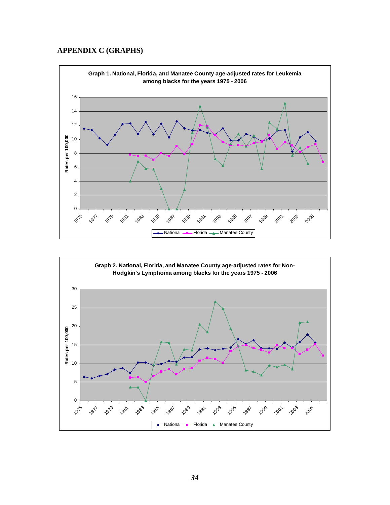#### <span id="page-37-0"></span>**APPENDIX C (GRAPHS)**



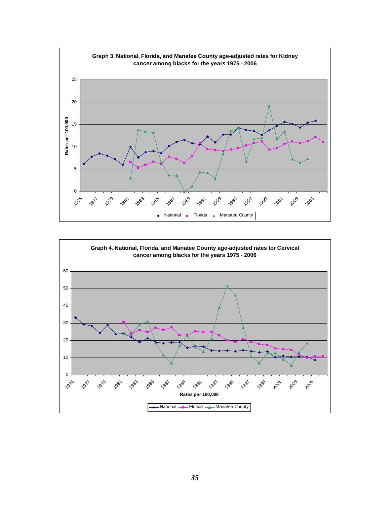<span id="page-38-0"></span>

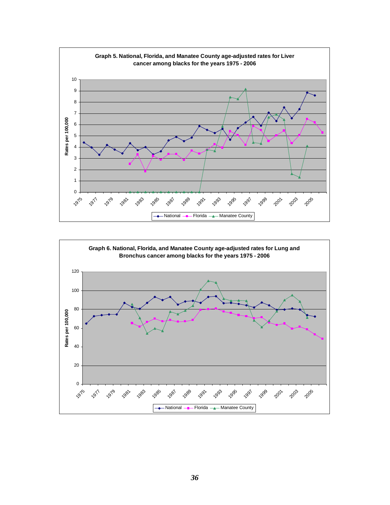<span id="page-39-0"></span>

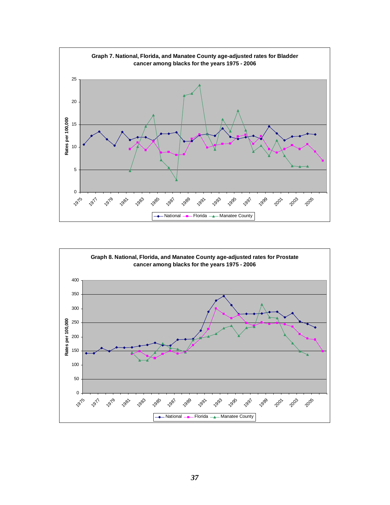<span id="page-40-0"></span>

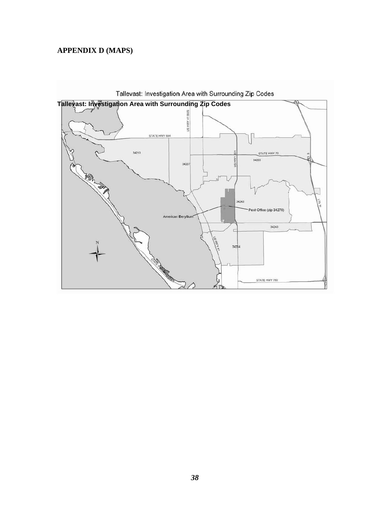#### <span id="page-41-0"></span>**APPENDIX D (MAPS)**



**Tallevast: Investigation Area with Surrounding Zip Codes**